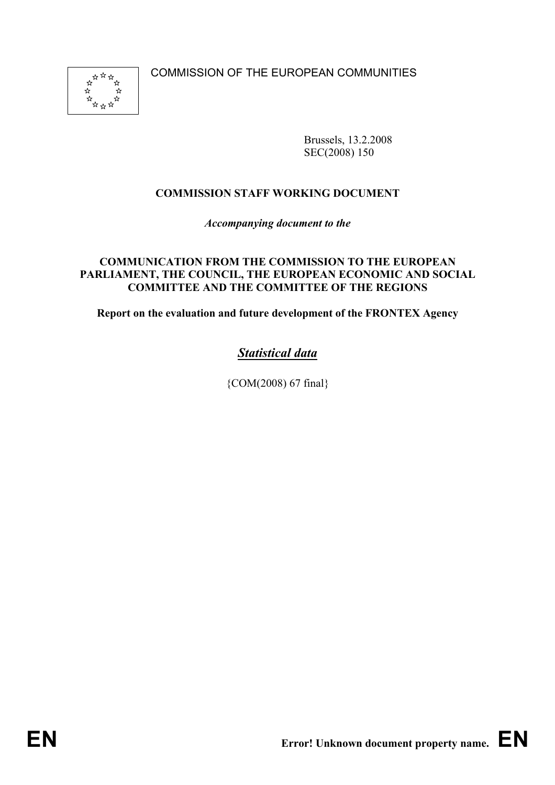COMMISSION OF THE EUROPEAN COMMUNITIES



Brussels, 13.2.2008 SEC(2008) 150

# **COMMISSION STAFF WORKING DOCUMENT**

*Accompanying document to the* 

### **COMMUNICATION FROM THE COMMISSION TO THE EUROPEAN PARLIAMENT, THE COUNCIL, THE EUROPEAN ECONOMIC AND SOCIAL COMMITTEE AND THE COMMITTEE OF THE REGIONS**

**Report on the evaluation and future development of the FRONTEX Agency** 

# *Statistical data*

{COM(2008) 67 final}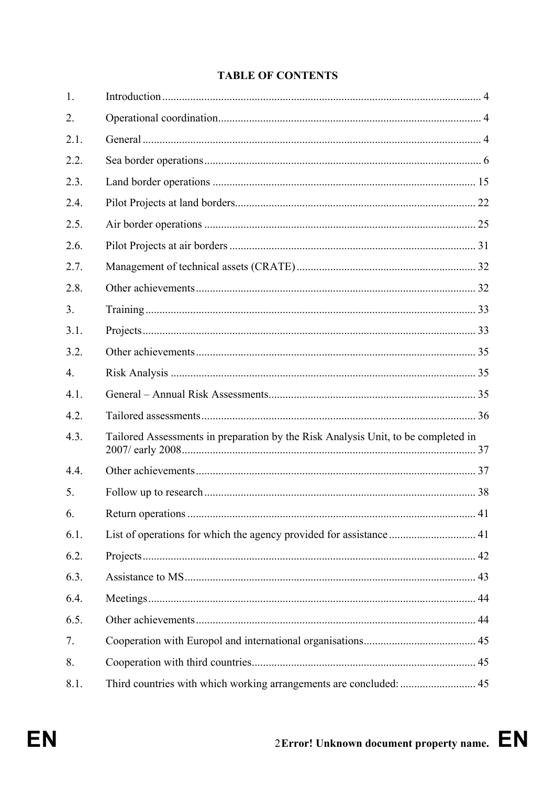## **TABLE OF CONTENTS**

| 1.               |                                                                                   |  |
|------------------|-----------------------------------------------------------------------------------|--|
| 2.               |                                                                                   |  |
| 2.1.             |                                                                                   |  |
| 2.2.             |                                                                                   |  |
| 2.3.             |                                                                                   |  |
| 2.4.             |                                                                                   |  |
| 2.5.             |                                                                                   |  |
| 2.6.             |                                                                                   |  |
| 2.7.             |                                                                                   |  |
| 2.8.             |                                                                                   |  |
| 3.               |                                                                                   |  |
| 3.1.             |                                                                                   |  |
| 3.2.             |                                                                                   |  |
| $\overline{4}$ . |                                                                                   |  |
| 4.1.             |                                                                                   |  |
| 4.2.             |                                                                                   |  |
| 4.3.             | Tailored Assessments in preparation by the Risk Analysis Unit, to be completed in |  |
| 4.4.             |                                                                                   |  |
| 5.               |                                                                                   |  |
| 6.               |                                                                                   |  |
| 6.1.             | List of operations for which the agency provided for assistance  41               |  |
| 6.2.             |                                                                                   |  |
| 6.3.             |                                                                                   |  |
| 6.4.             |                                                                                   |  |
| 6.5.             |                                                                                   |  |
| 7.               |                                                                                   |  |
| 8.               |                                                                                   |  |
| 8.1.             | Third countries with which working arrangements are concluded:  45                |  |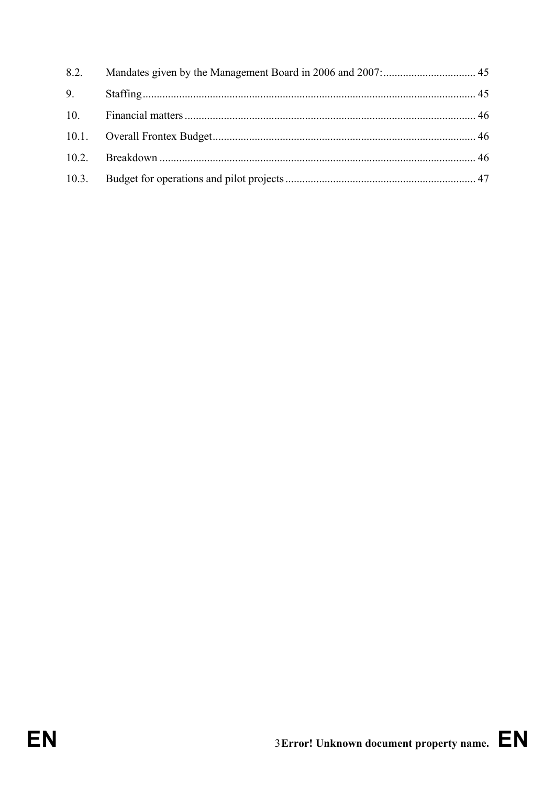| 8.2. |  |
|------|--|
| 9.   |  |
| 10.  |  |
|      |  |
|      |  |
|      |  |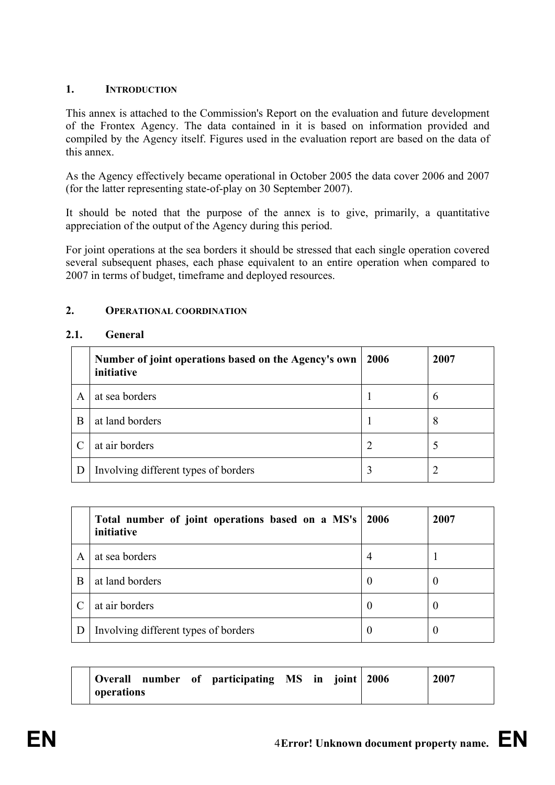## **1. INTRODUCTION**

This annex is attached to the Commission's Report on the evaluation and future development of the Frontex Agency. The data contained in it is based on information provided and compiled by the Agency itself. Figures used in the evaluation report are based on the data of this annex.

As the Agency effectively became operational in October 2005 the data cover 2006 and 2007 (for the latter representing state-of-play on 30 September 2007).

It should be noted that the purpose of the annex is to give, primarily, a quantitative appreciation of the output of the Agency during this period.

For joint operations at the sea borders it should be stressed that each single operation covered several subsequent phases, each phase equivalent to an entire operation when compared to 2007 in terms of budget, timeframe and deployed resources.

### **2. OPERATIONAL COORDINATION**

## **2.1. General**

|   | Number of joint operations based on the Agency's own<br>initiative | 2006 | 2007          |
|---|--------------------------------------------------------------------|------|---------------|
| A | at sea borders                                                     |      | $\mathfrak b$ |
| B | at land borders                                                    |      | 8             |
|   | at air borders                                                     |      |               |
|   | Involving different types of borders                               | 3    |               |

|   | Total number of joint operations based on a MS's   2006<br>initiative |          | 2007 |
|---|-----------------------------------------------------------------------|----------|------|
| A | at sea borders                                                        | 4        |      |
| B | at land borders                                                       | $\theta$ | U    |
|   | at air borders                                                        | $\bf{0}$ | U    |
| D | Involving different types of borders                                  | O        | U    |

| Overall    |  | number of participating MS in joint 2006 |  |  | 2007 |  |
|------------|--|------------------------------------------|--|--|------|--|
| operations |  |                                          |  |  |      |  |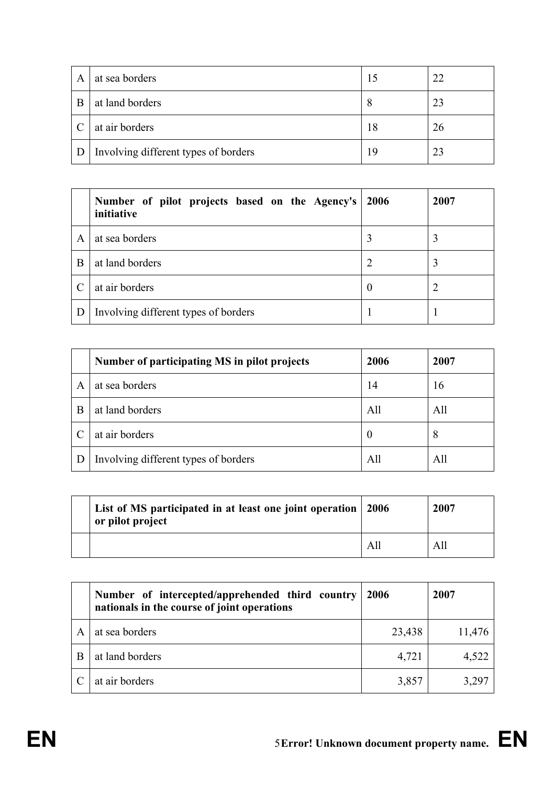| A | at sea borders                       |    | 22 |
|---|--------------------------------------|----|----|
| B | at land borders                      | 8  | 23 |
|   | at air borders                       | 18 | 26 |
|   | Involving different types of borders | 19 | 23 |

|   | Number of pilot projects based on the Agency's<br>initiative | 2006     | 2007 |
|---|--------------------------------------------------------------|----------|------|
| A | at sea borders                                               | 3        | 3    |
| B | at land borders                                              |          | 3    |
|   | at air borders                                               | $\theta$ |      |
| D | Involving different types of borders                         |          |      |

|   | Number of participating MS in pilot projects | 2006 | 2007 |
|---|----------------------------------------------|------|------|
| A | at sea borders                               | 14   | 16   |
| B | at land borders                              | All  | All  |
|   | at air borders                               | U    | 8    |
|   | Involving different types of borders         | All  | All  |

| List of MS participated in at least one joint operation 2006<br>or pilot project |     | 2007 |
|----------------------------------------------------------------------------------|-----|------|
|                                                                                  | All | All  |

|   | Number of intercepted/apprehended third country<br>nationals in the course of joint operations | 2006   | 2007   |
|---|------------------------------------------------------------------------------------------------|--------|--------|
| A | at sea borders                                                                                 | 23,438 | 11,476 |
|   | at land borders                                                                                | 4,721  | 4,522  |
|   | at air borders                                                                                 | 3,857  | 3,297  |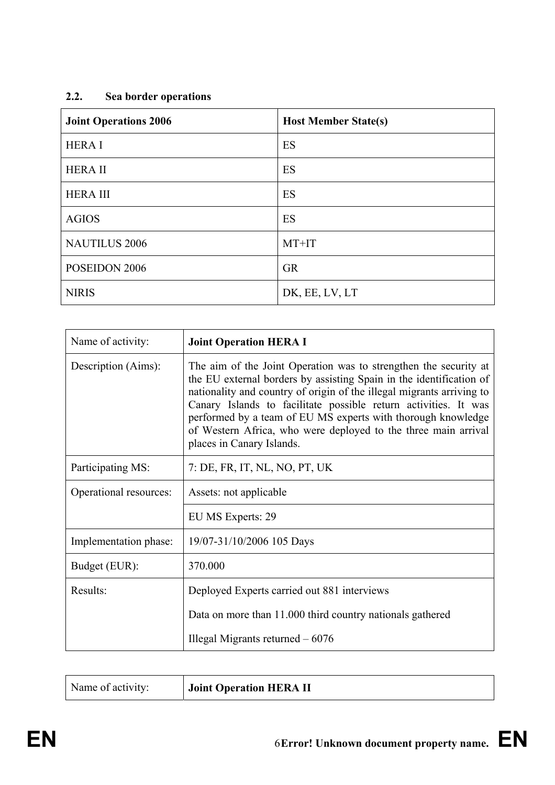# **2.2. Sea border operations**

| <b>Joint Operations 2006</b> | <b>Host Member State(s)</b> |
|------------------------------|-----------------------------|
| <b>HERAI</b>                 | ES                          |
| <b>HERAII</b>                | ES                          |
| <b>HERA III</b>              | ES                          |
| <b>AGIOS</b>                 | ES                          |
| <b>NAUTILUS 2006</b>         | MT+IT                       |
| POSEIDON 2006                | <b>GR</b>                   |
| <b>NIRIS</b>                 | DK, EE, LV, LT              |

| Name of activity:      | <b>Joint Operation HERA I</b>                                                                                                                                                                                                                                                                                                                                                                                                                      |
|------------------------|----------------------------------------------------------------------------------------------------------------------------------------------------------------------------------------------------------------------------------------------------------------------------------------------------------------------------------------------------------------------------------------------------------------------------------------------------|
| Description (Aims):    | The aim of the Joint Operation was to strengthen the security at<br>the EU external borders by assisting Spain in the identification of<br>nationality and country of origin of the illegal migrants arriving to<br>Canary Islands to facilitate possible return activities. It was<br>performed by a team of EU MS experts with thorough knowledge<br>of Western Africa, who were deployed to the three main arrival<br>places in Canary Islands. |
| Participating MS:      | 7: DE, FR, IT, NL, NO, PT, UK                                                                                                                                                                                                                                                                                                                                                                                                                      |
| Operational resources: | Assets: not applicable                                                                                                                                                                                                                                                                                                                                                                                                                             |
|                        | EU MS Experts: 29                                                                                                                                                                                                                                                                                                                                                                                                                                  |
| Implementation phase:  | 19/07-31/10/2006 105 Days                                                                                                                                                                                                                                                                                                                                                                                                                          |
| Budget (EUR):          | 370.000                                                                                                                                                                                                                                                                                                                                                                                                                                            |
| Results:               | Deployed Experts carried out 881 interviews                                                                                                                                                                                                                                                                                                                                                                                                        |
|                        | Data on more than 11.000 third country nationals gathered                                                                                                                                                                                                                                                                                                                                                                                          |
|                        | Illegal Migrants returned $-6076$                                                                                                                                                                                                                                                                                                                                                                                                                  |

| <b>Joint Operation HERA II</b><br>Name of activity: |
|-----------------------------------------------------|
|-----------------------------------------------------|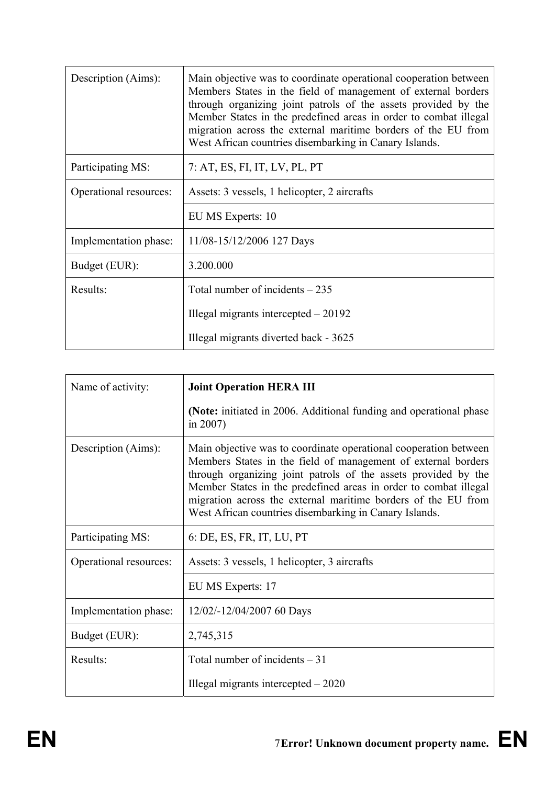| Description (Aims):    | Main objective was to coordinate operational cooperation between<br>Members States in the field of management of external borders<br>through organizing joint patrols of the assets provided by the<br>Member States in the predefined areas in order to combat illegal<br>migration across the external maritime borders of the EU from<br>West African countries disembarking in Canary Islands. |
|------------------------|----------------------------------------------------------------------------------------------------------------------------------------------------------------------------------------------------------------------------------------------------------------------------------------------------------------------------------------------------------------------------------------------------|
| Participating MS:      | 7: AT, ES, FI, IT, LV, PL, PT                                                                                                                                                                                                                                                                                                                                                                      |
| Operational resources: | Assets: 3 vessels, 1 helicopter, 2 aircrafts                                                                                                                                                                                                                                                                                                                                                       |
|                        | EU MS Experts: 10                                                                                                                                                                                                                                                                                                                                                                                  |
| Implementation phase:  | 11/08-15/12/2006 127 Days                                                                                                                                                                                                                                                                                                                                                                          |
| Budget (EUR):          | 3.200.000                                                                                                                                                                                                                                                                                                                                                                                          |
| Results:               | Total number of incidents $-235$                                                                                                                                                                                                                                                                                                                                                                   |
|                        | Illegal migrants intercepted $-20192$                                                                                                                                                                                                                                                                                                                                                              |
|                        | Illegal migrants diverted back - 3625                                                                                                                                                                                                                                                                                                                                                              |

| Name of activity:      | <b>Joint Operation HERA III</b>                                                                                                                                                                                                                                                                                                                                                                    |
|------------------------|----------------------------------------------------------------------------------------------------------------------------------------------------------------------------------------------------------------------------------------------------------------------------------------------------------------------------------------------------------------------------------------------------|
|                        | (Note: initiated in 2006. Additional funding and operational phase<br>in $2007$ )                                                                                                                                                                                                                                                                                                                  |
| Description (Aims):    | Main objective was to coordinate operational cooperation between<br>Members States in the field of management of external borders<br>through organizing joint patrols of the assets provided by the<br>Member States in the predefined areas in order to combat illegal<br>migration across the external maritime borders of the EU from<br>West African countries disembarking in Canary Islands. |
| Participating MS:      | 6: DE, ES, FR, IT, LU, PT                                                                                                                                                                                                                                                                                                                                                                          |
| Operational resources: | Assets: 3 vessels, 1 helicopter, 3 aircrafts                                                                                                                                                                                                                                                                                                                                                       |
|                        | EU MS Experts: 17                                                                                                                                                                                                                                                                                                                                                                                  |
| Implementation phase:  | 12/02/-12/04/2007 60 Days                                                                                                                                                                                                                                                                                                                                                                          |
| Budget (EUR):          | 2,745,315                                                                                                                                                                                                                                                                                                                                                                                          |
| Results:               | Total number of incidents $-31$                                                                                                                                                                                                                                                                                                                                                                    |
|                        | Illegal migrants intercepted $-2020$                                                                                                                                                                                                                                                                                                                                                               |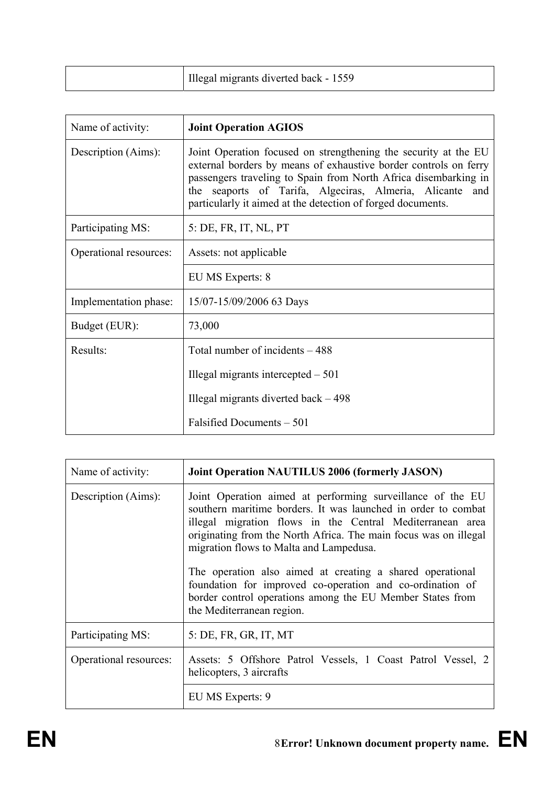| Illegal migrants diverted back - 1559 |
|---------------------------------------|
|---------------------------------------|

| Name of activity:      | <b>Joint Operation AGIOS</b>                                                                                                                                                                                                                                                                                                      |
|------------------------|-----------------------------------------------------------------------------------------------------------------------------------------------------------------------------------------------------------------------------------------------------------------------------------------------------------------------------------|
| Description (Aims):    | Joint Operation focused on strengthening the security at the EU<br>external borders by means of exhaustive border controls on ferry<br>passengers traveling to Spain from North Africa disembarking in<br>the seaports of Tarifa, Algeciras, Almeria, Alicante and<br>particularly it aimed at the detection of forged documents. |
| Participating MS:      | 5: DE, FR, IT, NL, PT                                                                                                                                                                                                                                                                                                             |
| Operational resources: | Assets: not applicable                                                                                                                                                                                                                                                                                                            |
|                        | EU MS Experts: 8                                                                                                                                                                                                                                                                                                                  |
| Implementation phase:  | 15/07-15/09/2006 63 Days                                                                                                                                                                                                                                                                                                          |
| Budget (EUR):          | 73,000                                                                                                                                                                                                                                                                                                                            |
| Results:               | Total number of incidents - 488                                                                                                                                                                                                                                                                                                   |
|                        | Illegal migrants intercepted $-501$                                                                                                                                                                                                                                                                                               |
|                        | Illegal migrants diverted back $-498$                                                                                                                                                                                                                                                                                             |
|                        | Falsified Documents – 501                                                                                                                                                                                                                                                                                                         |

| Name of activity:      | Joint Operation NAUTILUS 2006 (formerly JASON)                                                                                                                                                                                                                                                                                                                                                                                                                                                                              |
|------------------------|-----------------------------------------------------------------------------------------------------------------------------------------------------------------------------------------------------------------------------------------------------------------------------------------------------------------------------------------------------------------------------------------------------------------------------------------------------------------------------------------------------------------------------|
| Description (Aims):    | Joint Operation aimed at performing surveillance of the EU<br>southern maritime borders. It was launched in order to combat<br>illegal migration flows in the Central Mediterranean area<br>originating from the North Africa. The main focus was on illegal<br>migration flows to Malta and Lampedusa.<br>The operation also aimed at creating a shared operational<br>foundation for improved co-operation and co-ordination of<br>border control operations among the EU Member States from<br>the Mediterranean region. |
| Participating MS:      | 5: DE, FR, GR, IT, MT                                                                                                                                                                                                                                                                                                                                                                                                                                                                                                       |
| Operational resources: | Assets: 5 Offshore Patrol Vessels, 1 Coast Patrol Vessel, 2<br>helicopters, 3 aircrafts                                                                                                                                                                                                                                                                                                                                                                                                                                     |
|                        | EU MS Experts: 9                                                                                                                                                                                                                                                                                                                                                                                                                                                                                                            |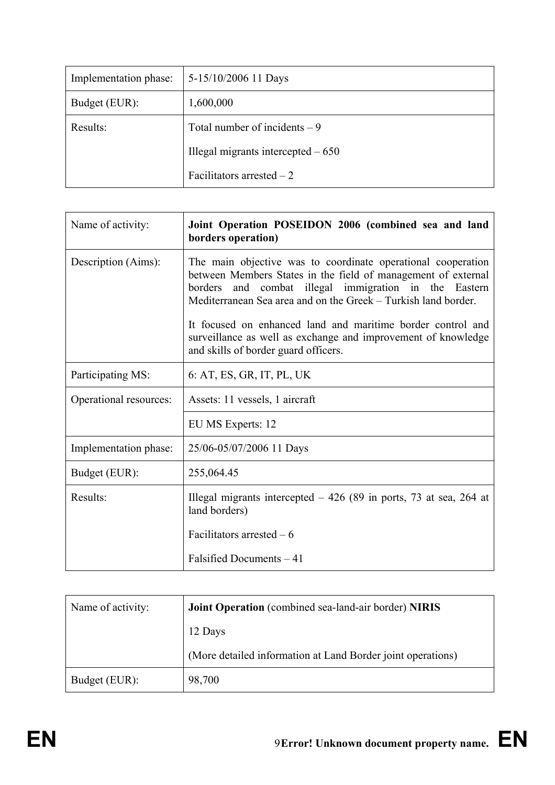| Implementation phase: | 5-15/10/2006 11 Days                |
|-----------------------|-------------------------------------|
| Budget (EUR):         | 1,600,000                           |
| Results:              | Total number of incidents $-9$      |
|                       | Illegal migrants intercepted $-650$ |
|                       | Facilitators arrested $-2$          |

| Name of activity:      | Joint Operation POSEIDON 2006 (combined sea and land<br>borders operation)                                                                                                                                                                                  |
|------------------------|-------------------------------------------------------------------------------------------------------------------------------------------------------------------------------------------------------------------------------------------------------------|
| Description (Aims):    | The main objective was to coordinate operational cooperation<br>between Members States in the field of management of external<br>and combat illegal immigration in the Eastern<br>borders<br>Mediterranean Sea area and on the Greek – Turkish land border. |
|                        | It focused on enhanced land and maritime border control and<br>surveillance as well as exchange and improvement of knowledge<br>and skills of border guard officers.                                                                                        |
| Participating MS:      | 6: AT, ES, GR, IT, PL, UK                                                                                                                                                                                                                                   |
| Operational resources: | Assets: 11 vessels, 1 aircraft                                                                                                                                                                                                                              |
|                        | EU MS Experts: 12                                                                                                                                                                                                                                           |
| Implementation phase:  | 25/06-05/07/2006 11 Days                                                                                                                                                                                                                                    |
| Budget (EUR):          | 255,064.45                                                                                                                                                                                                                                                  |
| Results:               | Illegal migrants intercepted $-426$ (89 in ports, 73 at sea, 264 at<br>land borders)                                                                                                                                                                        |
|                        | Facilitators arrested $-6$                                                                                                                                                                                                                                  |
|                        | Falsified Documents - 41                                                                                                                                                                                                                                    |

| Name of activity: | Joint Operation (combined sea-land-air border) NIRIS        |  |
|-------------------|-------------------------------------------------------------|--|
|                   | 12 Days                                                     |  |
|                   | (More detailed information at Land Border joint operations) |  |
| Budget (EUR):     | 98,700                                                      |  |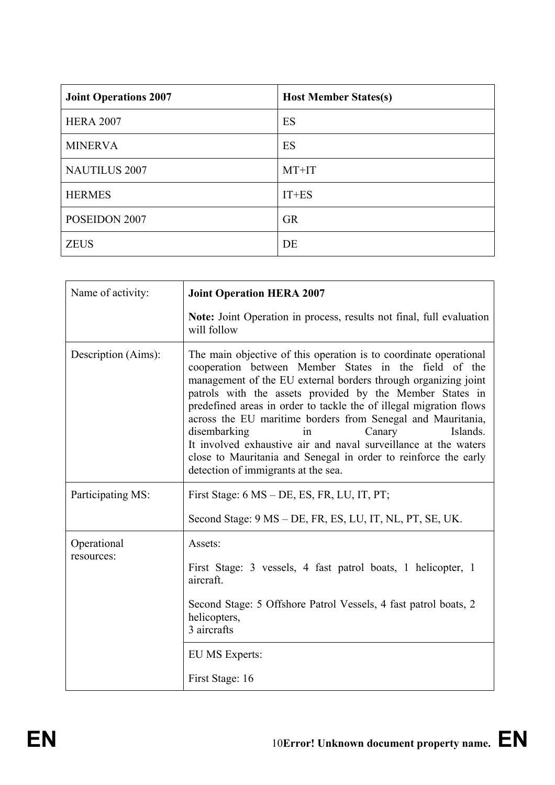| <b>Joint Operations 2007</b> | <b>Host Member States(s)</b> |
|------------------------------|------------------------------|
| <b>HERA 2007</b>             | ES                           |
| <b>MINERVA</b>               | ES                           |
| <b>NAUTILUS 2007</b>         | MT+IT                        |
| <b>HERMES</b>                | $IT+ES$                      |
| POSEIDON 2007                | <b>GR</b>                    |
| <b>ZEUS</b>                  | DE                           |

| Name of activity:         | <b>Joint Operation HERA 2007</b>                                                                                                                                                                                                                                                                                                                                                                                                                                                                                                                                                                                       |
|---------------------------|------------------------------------------------------------------------------------------------------------------------------------------------------------------------------------------------------------------------------------------------------------------------------------------------------------------------------------------------------------------------------------------------------------------------------------------------------------------------------------------------------------------------------------------------------------------------------------------------------------------------|
|                           | Note: Joint Operation in process, results not final, full evaluation<br>will follow                                                                                                                                                                                                                                                                                                                                                                                                                                                                                                                                    |
| Description (Aims):       | The main objective of this operation is to coordinate operational<br>cooperation between Member States in the field of the<br>management of the EU external borders through organizing joint<br>patrols with the assets provided by the Member States in<br>predefined areas in order to tackle the of illegal migration flows<br>across the EU maritime borders from Senegal and Mauritania,<br>disembarking<br>Canary<br>Islands.<br>in<br>It involved exhaustive air and naval surveillance at the waters<br>close to Mauritania and Senegal in order to reinforce the early<br>detection of immigrants at the sea. |
| Participating MS:         | First Stage: 6 MS – DE, ES, FR, LU, IT, PT;                                                                                                                                                                                                                                                                                                                                                                                                                                                                                                                                                                            |
|                           | Second Stage: 9 MS – DE, FR, ES, LU, IT, NL, PT, SE, UK.                                                                                                                                                                                                                                                                                                                                                                                                                                                                                                                                                               |
| Operational<br>resources: | Assets:<br>First Stage: 3 vessels, 4 fast patrol boats, 1 helicopter, 1<br>aircraft.<br>Second Stage: 5 Offshore Patrol Vessels, 4 fast patrol boats, 2<br>helicopters,<br>3 aircrafts<br><b>EU MS Experts:</b><br>First Stage: 16                                                                                                                                                                                                                                                                                                                                                                                     |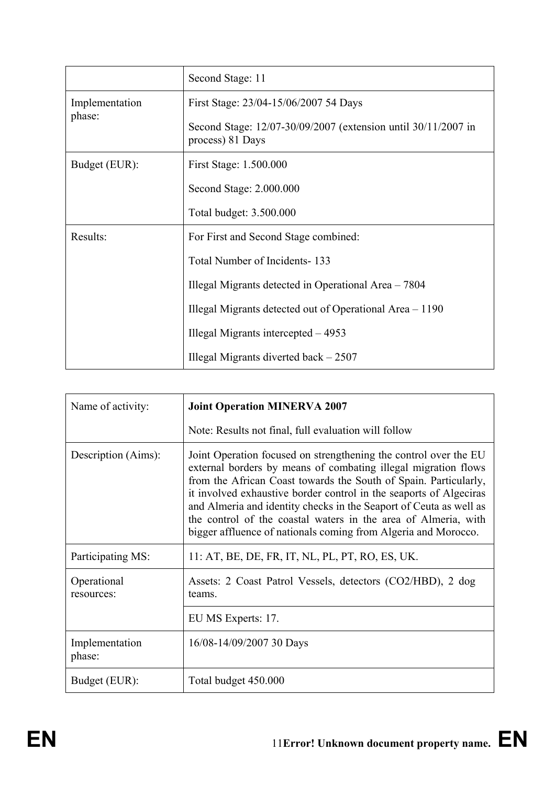|                          | Second Stage: 11                                                                  |
|--------------------------|-----------------------------------------------------------------------------------|
| Implementation<br>phase: | First Stage: 23/04-15/06/2007 54 Days                                             |
|                          | Second Stage: 12/07-30/09/2007 (extension until 30/11/2007 in<br>process) 81 Days |
| Budget (EUR):            | First Stage: 1.500.000                                                            |
|                          | Second Stage: 2.000.000                                                           |
|                          | Total budget: 3.500.000                                                           |
| Results:                 | For First and Second Stage combined:                                              |
|                          | Total Number of Incidents-133                                                     |
|                          | Illegal Migrants detected in Operational Area - 7804                              |
|                          | Illegal Migrants detected out of Operational Area – 1190                          |
|                          | Illegal Migrants intercepted $-4953$                                              |
|                          | Illegal Migrants diverted back $-2507$                                            |

| Name of activity:         | <b>Joint Operation MINERVA 2007</b>                                                                                                                                                                                                                                                                                                                                                                                                                                                    |
|---------------------------|----------------------------------------------------------------------------------------------------------------------------------------------------------------------------------------------------------------------------------------------------------------------------------------------------------------------------------------------------------------------------------------------------------------------------------------------------------------------------------------|
|                           | Note: Results not final, full evaluation will follow                                                                                                                                                                                                                                                                                                                                                                                                                                   |
| Description (Aims):       | Joint Operation focused on strengthening the control over the EU<br>external borders by means of combating illegal migration flows<br>from the African Coast towards the South of Spain. Particularly,<br>it involved exhaustive border control in the seaports of Algeciras<br>and Almeria and identity checks in the Seaport of Ceuta as well as<br>the control of the coastal waters in the area of Almeria, with<br>bigger affluence of nationals coming from Algeria and Morocco. |
| Participating MS:         | 11: AT, BE, DE, FR, IT, NL, PL, PT, RO, ES, UK.                                                                                                                                                                                                                                                                                                                                                                                                                                        |
| Operational<br>resources: | Assets: 2 Coast Patrol Vessels, detectors (CO2/HBD), 2 dog<br>teams.                                                                                                                                                                                                                                                                                                                                                                                                                   |
|                           | EU MS Experts: 17.                                                                                                                                                                                                                                                                                                                                                                                                                                                                     |
| Implementation<br>phase:  | 16/08-14/09/2007 30 Days                                                                                                                                                                                                                                                                                                                                                                                                                                                               |
| Budget (EUR):             | Total budget 450.000                                                                                                                                                                                                                                                                                                                                                                                                                                                                   |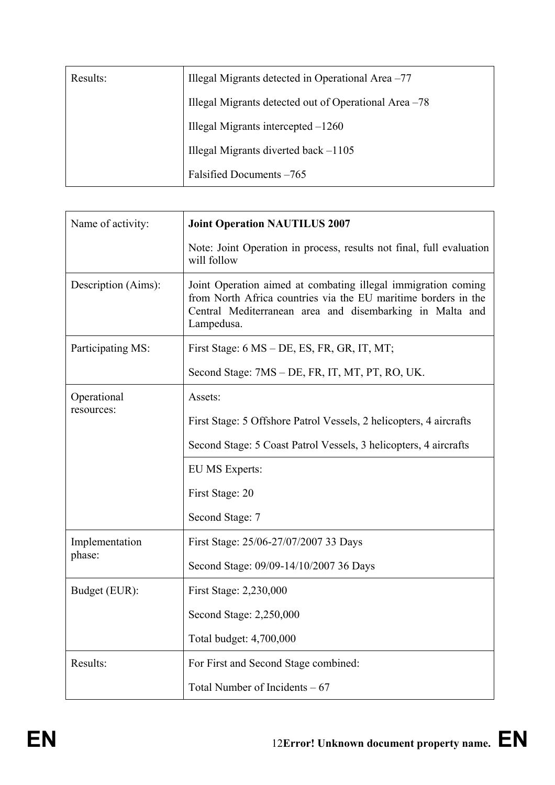| Results: | Illegal Migrants detected in Operational Area -77     |
|----------|-------------------------------------------------------|
|          | Illegal Migrants detected out of Operational Area -78 |
|          | Illegal Migrants intercepted $-1260$                  |
|          | Illegal Migrants diverted back -1105                  |
|          | Falsified Documents -765                              |

| Name of activity:   | <b>Joint Operation NAUTILUS 2007</b>                                                                                                                                                                      |
|---------------------|-----------------------------------------------------------------------------------------------------------------------------------------------------------------------------------------------------------|
|                     | Note: Joint Operation in process, results not final, full evaluation<br>will follow                                                                                                                       |
| Description (Aims): | Joint Operation aimed at combating illegal immigration coming<br>from North Africa countries via the EU maritime borders in the<br>Central Mediterranean area and disembarking in Malta and<br>Lampedusa. |
| Participating MS:   | First Stage: 6 MS – DE, ES, FR, GR, IT, MT;                                                                                                                                                               |
|                     | Second Stage: 7MS – DE, FR, IT, MT, PT, RO, UK.                                                                                                                                                           |
| Operational         | Assets:                                                                                                                                                                                                   |
| resources:          | First Stage: 5 Offshore Patrol Vessels, 2 helicopters, 4 aircrafts                                                                                                                                        |
|                     | Second Stage: 5 Coast Patrol Vessels, 3 helicopters, 4 aircrafts                                                                                                                                          |
|                     | EU MS Experts:                                                                                                                                                                                            |
|                     | First Stage: 20                                                                                                                                                                                           |
|                     | Second Stage: 7                                                                                                                                                                                           |
| Implementation      | First Stage: 25/06-27/07/2007 33 Days                                                                                                                                                                     |
| phase:              | Second Stage: 09/09-14/10/2007 36 Days                                                                                                                                                                    |
| Budget (EUR):       | First Stage: 2,230,000                                                                                                                                                                                    |
|                     | Second Stage: 2,250,000                                                                                                                                                                                   |
|                     | Total budget: 4,700,000                                                                                                                                                                                   |
| Results:            | For First and Second Stage combined:                                                                                                                                                                      |
|                     | Total Number of Incidents $-67$                                                                                                                                                                           |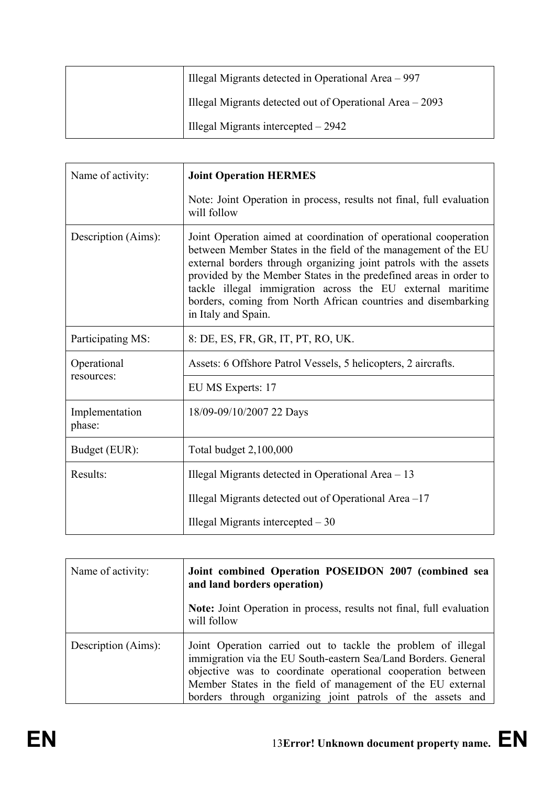|  | Illegal Migrants detected in Operational Area – 997       |
|--|-----------------------------------------------------------|
|  | Illegal Migrants detected out of Operational Area $-2093$ |
|  | Illegal Migrants intercepted $-2942$                      |

| Name of activity:        | <b>Joint Operation HERMES</b>                                                                                                                                                                                                                                                                                                                                                                                                      |
|--------------------------|------------------------------------------------------------------------------------------------------------------------------------------------------------------------------------------------------------------------------------------------------------------------------------------------------------------------------------------------------------------------------------------------------------------------------------|
|                          | Note: Joint Operation in process, results not final, full evaluation<br>will follow                                                                                                                                                                                                                                                                                                                                                |
| Description (Aims):      | Joint Operation aimed at coordination of operational cooperation<br>between Member States in the field of the management of the EU<br>external borders through organizing joint patrols with the assets<br>provided by the Member States in the predefined areas in order to<br>tackle illegal immigration across the EU external maritime<br>borders, coming from North African countries and disembarking<br>in Italy and Spain. |
| Participating MS:        | 8: DE, ES, FR, GR, IT, PT, RO, UK.                                                                                                                                                                                                                                                                                                                                                                                                 |
| Operational              | Assets: 6 Offshore Patrol Vessels, 5 helicopters, 2 aircrafts.                                                                                                                                                                                                                                                                                                                                                                     |
| resources:               | EU MS Experts: 17                                                                                                                                                                                                                                                                                                                                                                                                                  |
| Implementation<br>phase: | 18/09-09/10/2007 22 Days                                                                                                                                                                                                                                                                                                                                                                                                           |
| Budget (EUR):            | Total budget 2,100,000                                                                                                                                                                                                                                                                                                                                                                                                             |
| Results:                 | Illegal Migrants detected in Operational Area - 13                                                                                                                                                                                                                                                                                                                                                                                 |
|                          | Illegal Migrants detected out of Operational Area -17                                                                                                                                                                                                                                                                                                                                                                              |
|                          | Illegal Migrants intercepted $-30$                                                                                                                                                                                                                                                                                                                                                                                                 |

| Name of activity:   | Joint combined Operation POSEIDON 2007 (combined sea<br>and land borders operation)                                                                                                                                                                                                                                        |
|---------------------|----------------------------------------------------------------------------------------------------------------------------------------------------------------------------------------------------------------------------------------------------------------------------------------------------------------------------|
|                     | Note: Joint Operation in process, results not final, full evaluation<br>will follow                                                                                                                                                                                                                                        |
| Description (Aims): | Joint Operation carried out to tackle the problem of illegal<br>immigration via the EU South-eastern Sea/Land Borders. General<br>objective was to coordinate operational cooperation between<br>Member States in the field of management of the EU external<br>borders through organizing joint patrols of the assets and |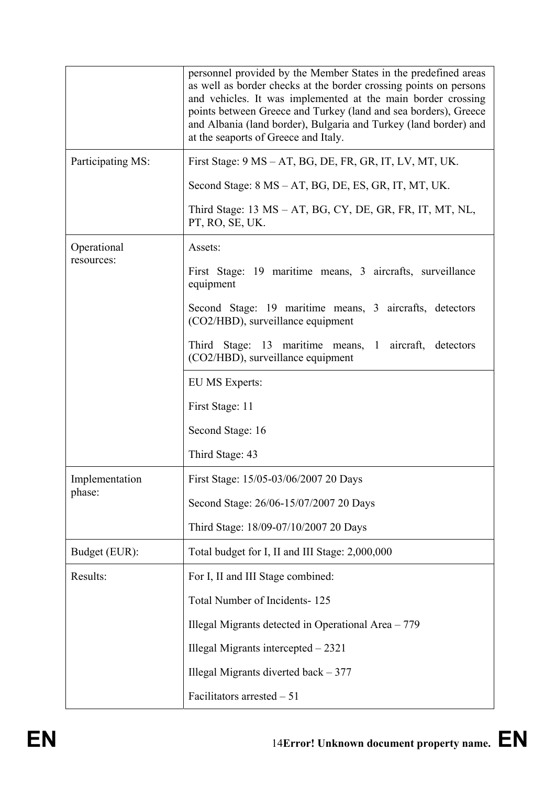|                   | personnel provided by the Member States in the predefined areas<br>as well as border checks at the border crossing points on persons<br>and vehicles. It was implemented at the main border crossing<br>points between Greece and Turkey (land and sea borders), Greece<br>and Albania (land border), Bulgaria and Turkey (land border) and<br>at the seaports of Greece and Italy. |
|-------------------|-------------------------------------------------------------------------------------------------------------------------------------------------------------------------------------------------------------------------------------------------------------------------------------------------------------------------------------------------------------------------------------|
| Participating MS: | First Stage: 9 MS – AT, BG, DE, FR, GR, IT, LV, MT, UK.                                                                                                                                                                                                                                                                                                                             |
|                   | Second Stage: 8 MS – AT, BG, DE, ES, GR, IT, MT, UK.                                                                                                                                                                                                                                                                                                                                |
|                   | Third Stage: 13 MS – AT, BG, CY, DE, GR, FR, IT, MT, NL,<br>PT, RO, SE, UK.                                                                                                                                                                                                                                                                                                         |
| Operational       | Assets:                                                                                                                                                                                                                                                                                                                                                                             |
| resources:        | First Stage: 19 maritime means, 3 aircrafts, surveillance<br>equipment                                                                                                                                                                                                                                                                                                              |
|                   | Second Stage: 19 maritime means, 3 aircrafts, detectors<br>(CO2/HBD), surveillance equipment                                                                                                                                                                                                                                                                                        |
|                   | Third Stage: 13 maritime means, 1 aircraft, detectors<br>(CO2/HBD), surveillance equipment                                                                                                                                                                                                                                                                                          |
|                   | <b>EU MS Experts:</b>                                                                                                                                                                                                                                                                                                                                                               |
|                   | First Stage: 11                                                                                                                                                                                                                                                                                                                                                                     |
|                   | Second Stage: 16                                                                                                                                                                                                                                                                                                                                                                    |
|                   | Third Stage: 43                                                                                                                                                                                                                                                                                                                                                                     |
| Implementation    | First Stage: 15/05-03/06/2007 20 Days                                                                                                                                                                                                                                                                                                                                               |
| phase:            | Second Stage: 26/06-15/07/2007 20 Days                                                                                                                                                                                                                                                                                                                                              |
|                   | Third Stage: 18/09-07/10/2007 20 Days                                                                                                                                                                                                                                                                                                                                               |
| Budget (EUR):     | Total budget for I, II and III Stage: 2,000,000                                                                                                                                                                                                                                                                                                                                     |
| Results:          | For I, II and III Stage combined:                                                                                                                                                                                                                                                                                                                                                   |
|                   | Total Number of Incidents-125                                                                                                                                                                                                                                                                                                                                                       |
|                   | Illegal Migrants detected in Operational Area – 779                                                                                                                                                                                                                                                                                                                                 |
|                   | Illegal Migrants intercepted - 2321                                                                                                                                                                                                                                                                                                                                                 |
|                   | Illegal Migrants diverted back $-377$                                                                                                                                                                                                                                                                                                                                               |
|                   | Facilitators arrested $-51$                                                                                                                                                                                                                                                                                                                                                         |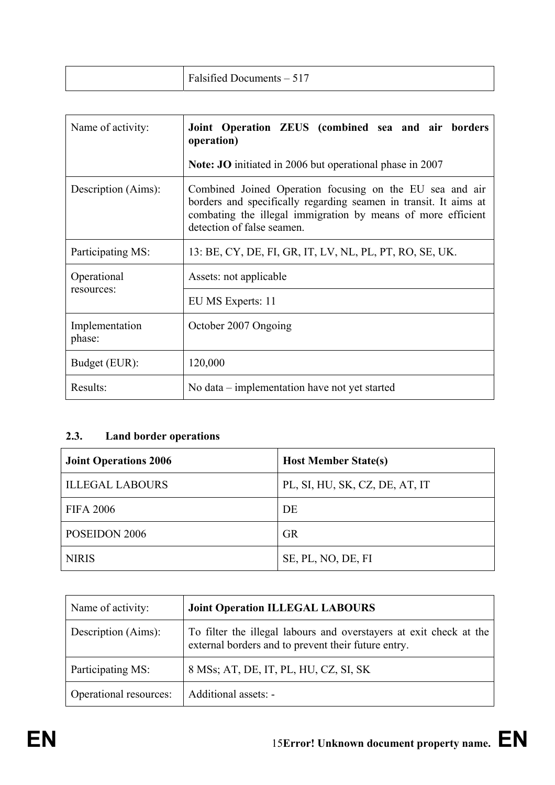| Talsified L<br>$-517$<br>$D$ ocuments – $\zeta$<br>ັບ ⊥⊥ |  |
|----------------------------------------------------------|--|
|----------------------------------------------------------|--|

| Name of activity:         | Joint Operation ZEUS (combined sea and air borders<br>operation)                                                                                                                                                           |  |
|---------------------------|----------------------------------------------------------------------------------------------------------------------------------------------------------------------------------------------------------------------------|--|
|                           | <b>Note: JO</b> initiated in 2006 but operational phase in 2007                                                                                                                                                            |  |
| Description (Aims):       | Combined Joined Operation focusing on the EU sea and air<br>borders and specifically regarding seamen in transit. It aims at<br>combating the illegal immigration by means of more efficient<br>detection of false seamen. |  |
| Participating MS:         | 13: BE, CY, DE, FI, GR, IT, LV, NL, PL, PT, RO, SE, UK.                                                                                                                                                                    |  |
| Operational<br>resources: | Assets: not applicable                                                                                                                                                                                                     |  |
|                           | EU MS Experts: 11                                                                                                                                                                                                          |  |
| Implementation<br>phase:  | October 2007 Ongoing                                                                                                                                                                                                       |  |
| Budget (EUR):             | 120,000                                                                                                                                                                                                                    |  |
| Results:                  | No data – implementation have not yet started                                                                                                                                                                              |  |

# **2.3. Land border operations**

| <b>Joint Operations 2006</b> | <b>Host Member State(s)</b>    |
|------------------------------|--------------------------------|
| <b>ILLEGAL LABOURS</b>       | PL, SI, HU, SK, CZ, DE, AT, IT |
| <b>FIFA 2006</b>             | DE                             |
| POSEIDON 2006                | <b>GR</b>                      |
| <b>NIRIS</b>                 | SE, PL, NO, DE, FI             |

| Name of activity:      | <b>Joint Operation ILLEGAL LABOURS</b>                                                                                    |
|------------------------|---------------------------------------------------------------------------------------------------------------------------|
| Description (Aims):    | To filter the illegal labours and overstayers at exit check at the<br>external borders and to prevent their future entry. |
| Participating MS:      | 8 MSs; AT, DE, IT, PL, HU, CZ, SI, SK                                                                                     |
| Operational resources: | Additional assets: -                                                                                                      |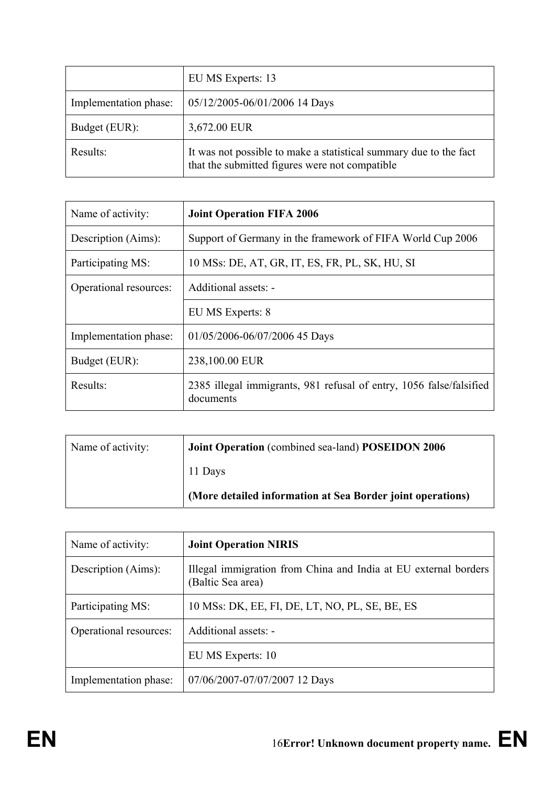|                       | EU MS Experts: 13                                                                                                   |
|-----------------------|---------------------------------------------------------------------------------------------------------------------|
| Implementation phase: | 05/12/2005-06/01/2006 14 Days                                                                                       |
| Budget (EUR):         | 3,672.00 EUR                                                                                                        |
| Results:              | It was not possible to make a statistical summary due to the fact<br>that the submitted figures were not compatible |

| Name of activity:      | <b>Joint Operation FIFA 2006</b>                                                 |
|------------------------|----------------------------------------------------------------------------------|
| Description (Aims):    | Support of Germany in the framework of FIFA World Cup 2006                       |
| Participating MS:      | 10 MSs: DE, AT, GR, IT, ES, FR, PL, SK, HU, SI                                   |
| Operational resources: | Additional assets: -                                                             |
|                        | EU MS Experts: 8                                                                 |
| Implementation phase:  | 01/05/2006-06/07/2006 45 Days                                                    |
| Budget (EUR):          | 238,100.00 EUR                                                                   |
| Results:               | 2385 illegal immigrants, 981 refusal of entry, 1056 false/falsified<br>documents |

| Name of activity: | Joint Operation (combined sea-land) POSEIDON 2006          |
|-------------------|------------------------------------------------------------|
|                   | 11 Days                                                    |
|                   | (More detailed information at Sea Border joint operations) |

| Name of activity:      | <b>Joint Operation NIRIS</b>                                                         |
|------------------------|--------------------------------------------------------------------------------------|
| Description (Aims):    | Illegal immigration from China and India at EU external borders<br>(Baltic Sea area) |
| Participating MS:      | 10 MSs: DK, EE, FI, DE, LT, NO, PL, SE, BE, ES                                       |
| Operational resources: | Additional assets: -                                                                 |
|                        | EU MS Experts: 10                                                                    |
| Implementation phase:  | 07/06/2007-07/07/2007 12 Days                                                        |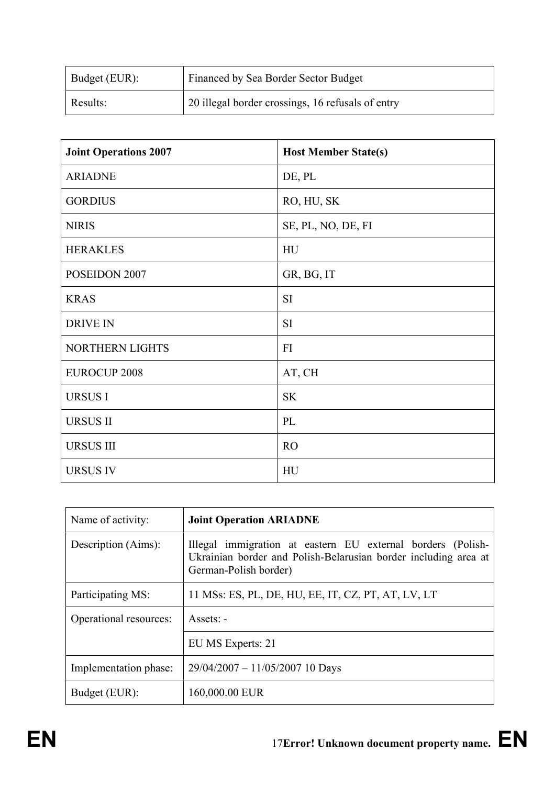| Budget (EUR): | Financed by Sea Border Sector Budget              |
|---------------|---------------------------------------------------|
| Results:      | 20 illegal border crossings, 16 refusals of entry |

| <b>Joint Operations 2007</b> | <b>Host Member State(s)</b> |
|------------------------------|-----------------------------|
| <b>ARIADNE</b>               | DE, PL                      |
| <b>GORDIUS</b>               | RO, HU, SK                  |
| <b>NIRIS</b>                 | SE, PL, NO, DE, FI          |
| <b>HERAKLES</b>              | HU                          |
| POSEIDON 2007                | GR, BG, IT                  |
| <b>KRAS</b>                  | <b>SI</b>                   |
| <b>DRIVE IN</b>              | <b>SI</b>                   |
| NORTHERN LIGHTS              | FI                          |
| <b>EUROCUP 2008</b>          | AT, CH                      |
| <b>URSUSI</b>                | <b>SK</b>                   |
| <b>URSUS II</b>              | PL                          |
| <b>URSUS III</b>             | <b>RO</b>                   |
| <b>URSUS IV</b>              | HU                          |

| Name of activity:      | <b>Joint Operation ARIADNE</b>                                                                                                                          |
|------------------------|---------------------------------------------------------------------------------------------------------------------------------------------------------|
| Description (Aims):    | Illegal immigration at eastern EU external borders (Polish-<br>Ukrainian border and Polish-Belarusian border including area at<br>German-Polish border) |
| Participating MS:      | 11 MSs: ES, PL, DE, HU, EE, IT, CZ, PT, AT, LV, LT                                                                                                      |
| Operational resources: | Assets: -                                                                                                                                               |
|                        | EU MS Experts: 21                                                                                                                                       |
| Implementation phase:  | $29/04/2007 - 11/05/2007$ 10 Days                                                                                                                       |
| Budget (EUR):          | 160,000.00 EUR                                                                                                                                          |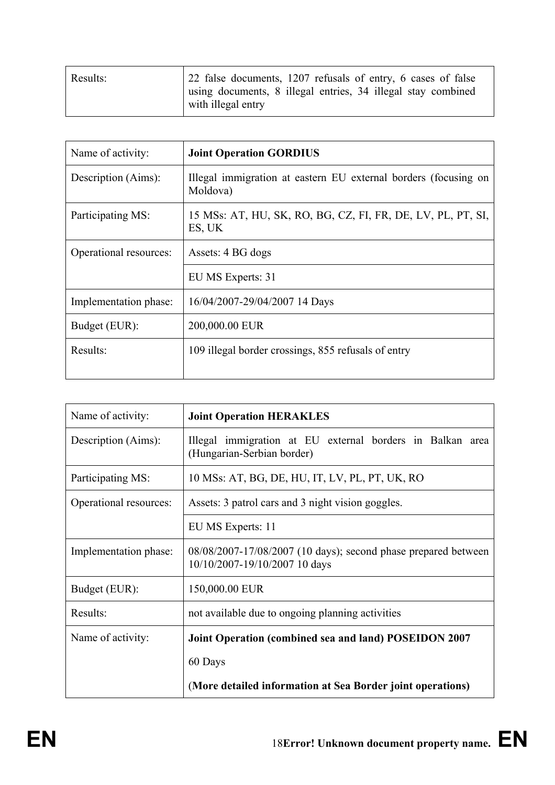| Results: | 22 false documents, 1207 refusals of entry, 6 cases of false                       |
|----------|------------------------------------------------------------------------------------|
|          | using documents, 8 illegal entries, 34 illegal stay combined<br>with illegal entry |

| Name of activity:      | <b>Joint Operation GORDIUS</b>                                              |
|------------------------|-----------------------------------------------------------------------------|
| Description (Aims):    | Illegal immigration at eastern EU external borders (focusing on<br>Moldova) |
| Participating MS:      | 15 MSs: AT, HU, SK, RO, BG, CZ, FI, FR, DE, LV, PL, PT, SI,<br>ES, UK       |
| Operational resources: | Assets: 4 BG dogs                                                           |
|                        | EU MS Experts: 31                                                           |
| Implementation phase:  | 16/04/2007-29/04/2007 14 Days                                               |
| Budget (EUR):          | 200,000.00 EUR                                                              |
| Results:               | 109 illegal border crossings, 855 refusals of entry                         |

| Name of activity:      | <b>Joint Operation HERAKLES</b>                                                                 |
|------------------------|-------------------------------------------------------------------------------------------------|
| Description (Aims):    | Illegal immigration at EU external borders in Balkan area<br>(Hungarian-Serbian border)         |
| Participating MS:      | 10 MSs: AT, BG, DE, HU, IT, LV, PL, PT, UK, RO                                                  |
| Operational resources: | Assets: 3 patrol cars and 3 night vision goggles.                                               |
|                        | EU MS Experts: 11                                                                               |
| Implementation phase:  | 08/08/2007-17/08/2007 (10 days); second phase prepared between<br>10/10/2007-19/10/2007 10 days |
| Budget (EUR):          | 150,000.00 EUR                                                                                  |
| Results:               | not available due to ongoing planning activities                                                |
| Name of activity:      | Joint Operation (combined sea and land) POSEIDON 2007                                           |
|                        | 60 Days                                                                                         |
|                        | (More detailed information at Sea Border joint operations)                                      |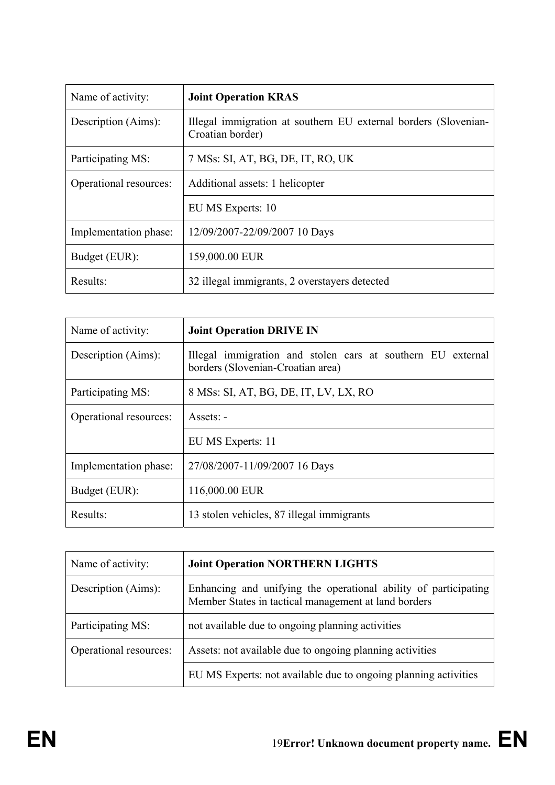| Name of activity:      | <b>Joint Operation KRAS</b>                                                         |
|------------------------|-------------------------------------------------------------------------------------|
| Description (Aims):    | Illegal immigration at southern EU external borders (Slovenian-<br>Croatian border) |
| Participating MS:      | 7 MSs: SI, AT, BG, DE, IT, RO, UK                                                   |
| Operational resources: | Additional assets: 1 helicopter                                                     |
|                        | EU MS Experts: 10                                                                   |
| Implementation phase:  | 12/09/2007-22/09/2007 10 Days                                                       |
| Budget (EUR):          | 159,000.00 EUR                                                                      |
| Results:               | 32 illegal immigrants, 2 overstayers detected                                       |

| Name of activity:      | <b>Joint Operation DRIVE IN</b>                                                                  |
|------------------------|--------------------------------------------------------------------------------------------------|
| Description (Aims):    | Illegal immigration and stolen cars at southern EU external<br>borders (Slovenian-Croatian area) |
| Participating MS:      | 8 MSs: SI, AT, BG, DE, IT, LV, LX, RO                                                            |
| Operational resources: | $\overline{A}$ ssets: -                                                                          |
|                        | EU MS Experts: 11                                                                                |
| Implementation phase:  | 27/08/2007-11/09/2007 16 Days                                                                    |
| Budget (EUR):          | 116,000.00 EUR                                                                                   |
| Results:               | 13 stolen vehicles, 87 illegal immigrants                                                        |

| Name of activity:      | <b>Joint Operation NORTHERN LIGHTS</b>                                                                                  |
|------------------------|-------------------------------------------------------------------------------------------------------------------------|
| Description (Aims):    | Enhancing and unifying the operational ability of participating<br>Member States in tactical management at land borders |
| Participating MS:      | not available due to ongoing planning activities                                                                        |
| Operational resources: | Assets: not available due to ongoing planning activities                                                                |
|                        | EU MS Experts: not available due to ongoing planning activities                                                         |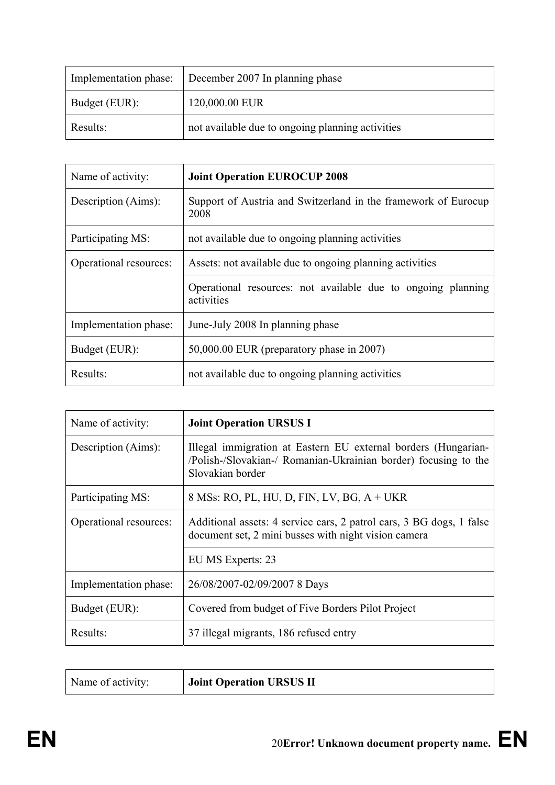| Implementation phase: | December 2007 In planning phase                  |
|-----------------------|--------------------------------------------------|
| Budget (EUR):         | 120,000.00 EUR                                   |
| Results:              | not available due to ongoing planning activities |

| Name of activity:      | <b>Joint Operation EUROCUP 2008</b>                                        |
|------------------------|----------------------------------------------------------------------------|
| Description (Aims):    | Support of Austria and Switzerland in the framework of Eurocup<br>2008     |
| Participating MS:      | not available due to ongoing planning activities                           |
| Operational resources: | Assets: not available due to ongoing planning activities                   |
|                        | Operational resources: not available due to ongoing planning<br>activities |
| Implementation phase:  | June-July 2008 In planning phase                                           |
| Budget (EUR):          | $50,000.00$ EUR (preparatory phase in 2007)                                |
| Results:               | not available due to ongoing planning activities                           |

| Name of activity:      | <b>Joint Operation URSUS I</b>                                                                                                                        |
|------------------------|-------------------------------------------------------------------------------------------------------------------------------------------------------|
| Description (Aims):    | Illegal immigration at Eastern EU external borders (Hungarian-<br>/Polish-/Slovakian-/ Romanian-Ukrainian border) focusing to the<br>Slovakian border |
| Participating MS:      | 8 MSs: RO, PL, HU, D, FIN, LV, BG, A + UKR                                                                                                            |
| Operational resources: | Additional assets: 4 service cars, 2 patrol cars, 3 BG dogs, 1 false<br>document set, 2 mini busses with night vision camera                          |
|                        | EU MS Experts: 23                                                                                                                                     |
| Implementation phase:  | 26/08/2007-02/09/2007 8 Days                                                                                                                          |
| Budget (EUR):          | Covered from budget of Five Borders Pilot Project                                                                                                     |
| Results:               | 37 illegal migrants, 186 refused entry                                                                                                                |

| Joint Operation URSUS II<br>Name of activity: |
|-----------------------------------------------|
|-----------------------------------------------|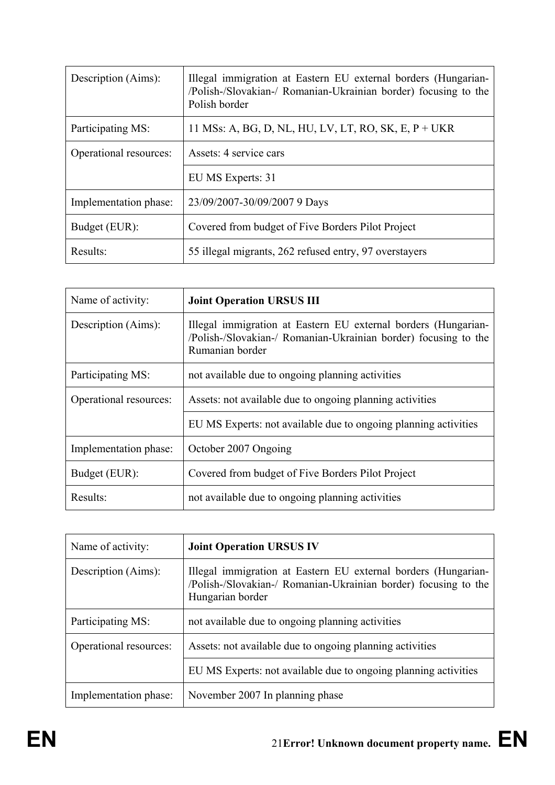| Description (Aims):    | Illegal immigration at Eastern EU external borders (Hungarian-<br>/Polish-/Slovakian-/ Romanian-Ukrainian border) focusing to the<br>Polish border |
|------------------------|----------------------------------------------------------------------------------------------------------------------------------------------------|
| Participating MS:      | 11 MSs: A, BG, D, NL, HU, LV, LT, RO, SK, E, P + UKR                                                                                               |
| Operational resources: | Assets: 4 service cars                                                                                                                             |
|                        | EU MS Experts: 31                                                                                                                                  |
| Implementation phase:  | 23/09/2007-30/09/2007 9 Days                                                                                                                       |
| Budget (EUR):          | Covered from budget of Five Borders Pilot Project                                                                                                  |
| Results:               | 55 illegal migrants, 262 refused entry, 97 overstayers                                                                                             |

| Name of activity:      | <b>Joint Operation URSUS III</b>                                                                                                                     |
|------------------------|------------------------------------------------------------------------------------------------------------------------------------------------------|
| Description (Aims):    | Illegal immigration at Eastern EU external borders (Hungarian-<br>/Polish-/Slovakian-/ Romanian-Ukrainian border) focusing to the<br>Rumanian border |
| Participating MS:      | not available due to ongoing planning activities                                                                                                     |
| Operational resources: | Assets: not available due to ongoing planning activities                                                                                             |
|                        | EU MS Experts: not available due to ongoing planning activities                                                                                      |
| Implementation phase:  | October 2007 Ongoing                                                                                                                                 |
| Budget (EUR):          | Covered from budget of Five Borders Pilot Project                                                                                                    |
| Results:               | not available due to ongoing planning activities                                                                                                     |

| Name of activity:      | <b>Joint Operation URSUS IV</b>                                                                                                                       |
|------------------------|-------------------------------------------------------------------------------------------------------------------------------------------------------|
| Description (Aims):    | Illegal immigration at Eastern EU external borders (Hungarian-<br>/Polish-/Slovakian-/ Romanian-Ukrainian border) focusing to the<br>Hungarian border |
| Participating MS:      | not available due to ongoing planning activities                                                                                                      |
| Operational resources: | Assets: not available due to ongoing planning activities                                                                                              |
|                        | EU MS Experts: not available due to ongoing planning activities                                                                                       |
| Implementation phase:  | November 2007 In planning phase                                                                                                                       |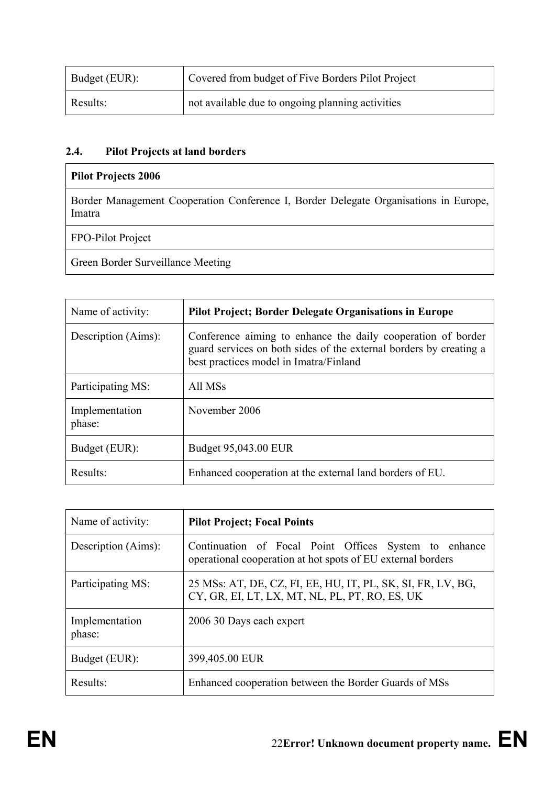| Budget (EUR): | <sup>1</sup> Covered from budget of Five Borders Pilot Project |
|---------------|----------------------------------------------------------------|
| Results:      | not available due to ongoing planning activities               |

# **2.4. Pilot Projects at land borders**

## **Pilot Projects 2006**

Border Management Cooperation Conference I, Border Delegate Organisations in Europe, Imatra

FPO-Pilot Project

Green Border Surveillance Meeting

| Name of activity:        | <b>Pilot Project; Border Delegate Organisations in Europe</b>                                                                                                                |
|--------------------------|------------------------------------------------------------------------------------------------------------------------------------------------------------------------------|
| Description (Aims):      | Conference aiming to enhance the daily cooperation of border<br>guard services on both sides of the external borders by creating a<br>best practices model in Imatra/Finland |
| Participating MS:        | All MSs                                                                                                                                                                      |
| Implementation<br>phase: | November 2006                                                                                                                                                                |
| Budget (EUR):            | Budget 95,043.00 EUR                                                                                                                                                         |
| Results:                 | Enhanced cooperation at the external land borders of EU.                                                                                                                     |

| Name of activity:        | <b>Pilot Project; Focal Points</b>                                                                                   |
|--------------------------|----------------------------------------------------------------------------------------------------------------------|
| Description (Aims):      | Continuation of Focal Point Offices System to enhance<br>operational cooperation at hot spots of EU external borders |
| Participating MS:        | 25 MSs: AT, DE, CZ, FI, EE, HU, IT, PL, SK, SI, FR, LV, BG,<br>CY, GR, EI, LT, LX, MT, NL, PL, PT, RO, ES, UK        |
| Implementation<br>phase: | 2006 30 Days each expert                                                                                             |
| Budget (EUR):            | 399,405.00 EUR                                                                                                       |
| Results:                 | Enhanced cooperation between the Border Guards of MSs                                                                |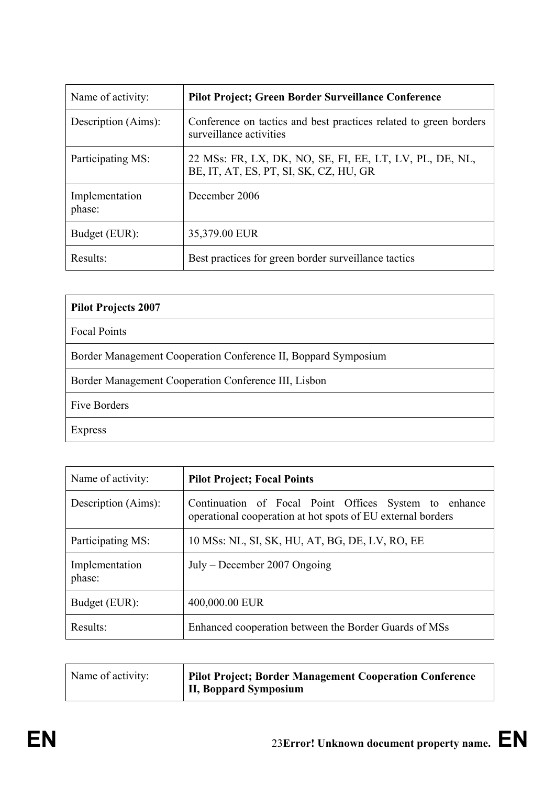| Name of activity:        | <b>Pilot Project; Green Border Surveillance Conference</b>                                        |
|--------------------------|---------------------------------------------------------------------------------------------------|
| Description (Aims):      | Conference on tactics and best practices related to green borders<br>surveillance activities      |
| Participating MS:        | 22 MSs: FR, LX, DK, NO, SE, FI, EE, LT, LV, PL, DE, NL,<br>BE, IT, AT, ES, PT, SI, SK, CZ, HU, GR |
| Implementation<br>phase: | December 2006                                                                                     |
| Budget (EUR):            | 35,379.00 EUR                                                                                     |
| Results:                 | Best practices for green border surveillance tactics                                              |

| <b>Pilot Projects 2007</b>                                     |
|----------------------------------------------------------------|
| <b>Focal Points</b>                                            |
| Border Management Cooperation Conference II, Boppard Symposium |
| Border Management Cooperation Conference III, Lisbon           |
| Five Borders                                                   |
| Express                                                        |

| Name of activity:        | <b>Pilot Project; Focal Points</b>                                                                                   |
|--------------------------|----------------------------------------------------------------------------------------------------------------------|
| Description (Aims):      | Continuation of Focal Point Offices System to enhance<br>operational cooperation at hot spots of EU external borders |
| Participating MS:        | 10 MSs: NL, SI, SK, HU, AT, BG, DE, LV, RO, EE                                                                       |
| Implementation<br>phase: | $July - December 2007 \, Ongoing$                                                                                    |
| Budget (EUR):            | 400,000.00 EUR                                                                                                       |
| Results:                 | Enhanced cooperation between the Border Guards of MSs                                                                |

| Name of activity: | Pilot Project; Border Management Cooperation Conference |
|-------------------|---------------------------------------------------------|
|                   | II, Boppard Symposium                                   |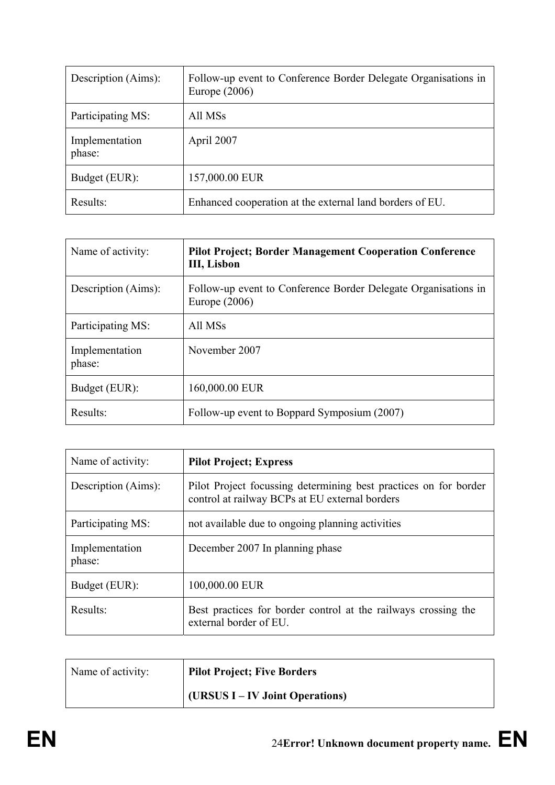| Description (Aims):      | Follow-up event to Conference Border Delegate Organisations in<br>Europe $(2006)$ |
|--------------------------|-----------------------------------------------------------------------------------|
| Participating MS:        | All MSs                                                                           |
| Implementation<br>phase: | April 2007                                                                        |
| Budget (EUR):            | 157,000.00 EUR                                                                    |
| Results:                 | Enhanced cooperation at the external land borders of EU.                          |

| Name of activity:        | <b>Pilot Project; Border Management Cooperation Conference</b><br>III, Lisbon     |
|--------------------------|-----------------------------------------------------------------------------------|
| Description (Aims):      | Follow-up event to Conference Border Delegate Organisations in<br>Europe $(2006)$ |
| Participating MS:        | All MSs                                                                           |
| Implementation<br>phase: | November 2007                                                                     |
| Budget (EUR):            | 160,000.00 EUR                                                                    |
| Results:                 | Follow-up event to Boppard Symposium (2007)                                       |

| Name of activity:        | <b>Pilot Project; Express</b>                                                                                      |
|--------------------------|--------------------------------------------------------------------------------------------------------------------|
| Description (Aims):      | Pilot Project focussing determining best practices on for border<br>control at railway BCPs at EU external borders |
| Participating MS:        | not available due to ongoing planning activities                                                                   |
| Implementation<br>phase: | December 2007 In planning phase                                                                                    |
| Budget (EUR):            | 100,000.00 EUR                                                                                                     |
| Results:                 | Best practices for border control at the railways crossing the<br>external border of EU.                           |

| Name of activity: | <b>Pilot Project; Five Borders</b> |
|-------------------|------------------------------------|
|                   | (URSUS I – IV Joint Operations)    |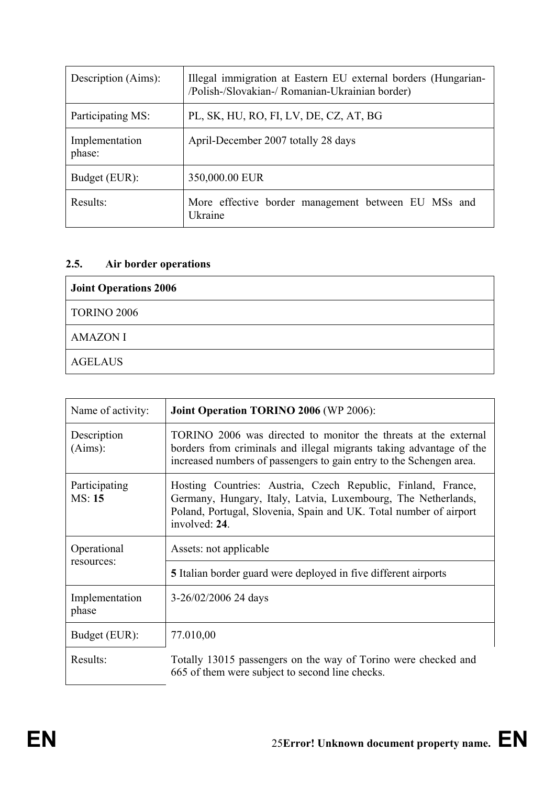| Description (Aims):      | Illegal immigration at Eastern EU external borders (Hungarian-<br>/Polish-/Slovakian-/ Romanian-Ukrainian border) |
|--------------------------|-------------------------------------------------------------------------------------------------------------------|
| Participating MS:        | PL, SK, HU, RO, FI, LV, DE, CZ, AT, BG                                                                            |
| Implementation<br>phase: | April-December 2007 totally 28 days                                                                               |
| Budget (EUR):            | 350,000.00 EUR                                                                                                    |
| Results:                 | More effective border management between EU MSs and<br>Ukraine                                                    |

# **2.5. Air border operations**

| <b>Joint Operations 2006</b> |
|------------------------------|
| <b>TORINO 2006</b>           |
| <b>AMAZON I</b>              |
| <b>AGELAUS</b>               |

| Name of activity:         | <b>Joint Operation TORINO 2006 (WP 2006):</b>                                                                                                                                                                       |
|---------------------------|---------------------------------------------------------------------------------------------------------------------------------------------------------------------------------------------------------------------|
| Description<br>(Aims):    | TORINO 2006 was directed to monitor the threats at the external<br>borders from criminals and illegal migrants taking advantage of the<br>increased numbers of passengers to gain entry to the Schengen area.       |
| Participating<br>MS: 15   | Hosting Countries: Austria, Czech Republic, Finland, France,<br>Germany, Hungary, Italy, Latvia, Luxembourg, The Netherlands,<br>Poland, Portugal, Slovenia, Spain and UK. Total number of airport<br>involved: 24. |
| Operational<br>resources: | Assets: not applicable                                                                                                                                                                                              |
|                           | <b>5</b> Italian border guard were deployed in five different airports                                                                                                                                              |
| Implementation<br>phase   | 3-26/02/2006 24 days                                                                                                                                                                                                |
| Budget (EUR):             | 77.010,00                                                                                                                                                                                                           |
| Results:                  | Totally 13015 passengers on the way of Torino were checked and<br>665 of them were subject to second line checks.                                                                                                   |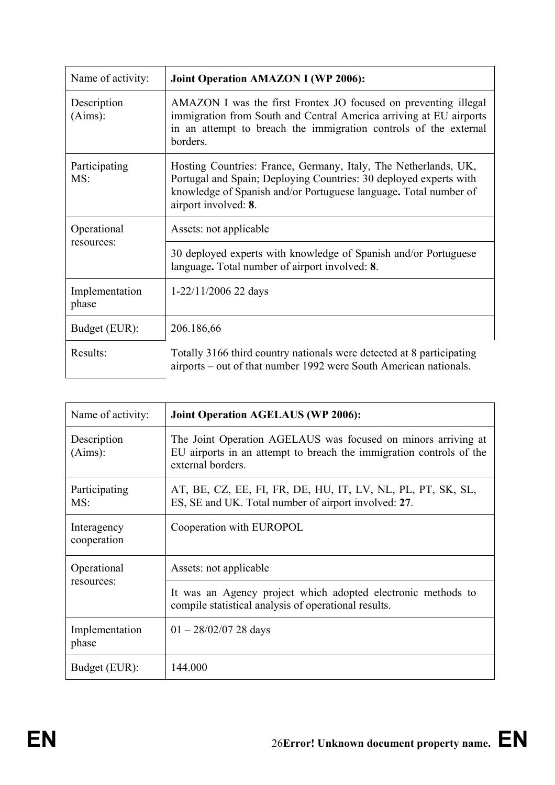| Name of activity:       | <b>Joint Operation AMAZON I (WP 2006):</b>                                                                                                                                                                                       |
|-------------------------|----------------------------------------------------------------------------------------------------------------------------------------------------------------------------------------------------------------------------------|
| Description<br>(Aims):  | AMAZON I was the first Frontex JO focused on preventing illegal<br>immigration from South and Central America arriving at EU airports<br>in an attempt to breach the immigration controls of the external<br>borders.            |
| Participating<br>MS:    | Hosting Countries: France, Germany, Italy, The Netherlands, UK,<br>Portugal and Spain; Deploying Countries: 30 deployed experts with<br>knowledge of Spanish and/or Portuguese language. Total number of<br>airport involved: 8. |
| Operational             | Assets: not applicable                                                                                                                                                                                                           |
| resources:              | 30 deployed experts with knowledge of Spanish and/or Portuguese<br>language. Total number of airport involved: 8.                                                                                                                |
| Implementation<br>phase | $1-22/11/2006$ 22 days                                                                                                                                                                                                           |
| Budget (EUR):           | 206.186,66                                                                                                                                                                                                                       |
| Results:                | Totally 3166 third country nationals were detected at 8 participating<br>airports – out of that number 1992 were South American nationals.                                                                                       |

| Name of activity:          | <b>Joint Operation AGELAUS (WP 2006):</b>                                                                                                                 |
|----------------------------|-----------------------------------------------------------------------------------------------------------------------------------------------------------|
| Description<br>(Aims):     | The Joint Operation AGELAUS was focused on minors arriving at<br>EU airports in an attempt to breach the immigration controls of the<br>external borders. |
| Participating<br>MS:       | AT, BE, CZ, EE, FI, FR, DE, HU, IT, LV, NL, PL, PT, SK, SL,<br>ES, SE and UK. Total number of airport involved: 27.                                       |
| Interagency<br>cooperation | Cooperation with EUROPOL                                                                                                                                  |
| Operational<br>resources:  | Assets: not applicable                                                                                                                                    |
|                            | It was an Agency project which adopted electronic methods to<br>compile statistical analysis of operational results.                                      |
| Implementation<br>phase    | $01 - \frac{28}{02}{07}$ 28 days                                                                                                                          |
| Budget (EUR):              | 144.000                                                                                                                                                   |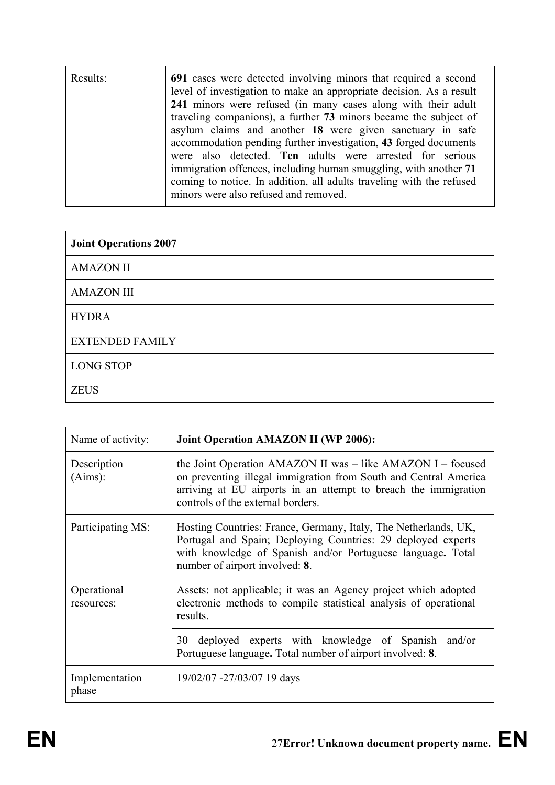| Results: | 691 cases were detected involving minors that required a second<br>level of investigation to make an appropriate decision. As a result<br>241 minors were refused (in many cases along with their adult<br>traveling companions), a further 73 minors became the subject of<br>asylum claims and another 18 were given sanctuary in safe<br>accommodation pending further investigation, 43 forged documents<br>were also detected. Ten adults were arrested for serious<br>immigration offences, including human smuggling, with another 71<br>coming to notice. In addition, all adults traveling with the refused<br>minors were also refused and removed. |
|----------|---------------------------------------------------------------------------------------------------------------------------------------------------------------------------------------------------------------------------------------------------------------------------------------------------------------------------------------------------------------------------------------------------------------------------------------------------------------------------------------------------------------------------------------------------------------------------------------------------------------------------------------------------------------|
|          |                                                                                                                                                                                                                                                                                                                                                                                                                                                                                                                                                                                                                                                               |

| <b>Joint Operations 2007</b> |
|------------------------------|
| <b>AMAZON II</b>             |
| <b>AMAZON III</b>            |
| <b>HYDRA</b>                 |
| <b>EXTENDED FAMILY</b>       |
| <b>LONG STOP</b>             |
| <b>ZEUS</b>                  |

| Name of activity:         | <b>Joint Operation AMAZON II (WP 2006):</b>                                                                                                                                                                                             |
|---------------------------|-----------------------------------------------------------------------------------------------------------------------------------------------------------------------------------------------------------------------------------------|
| Description<br>(Aims):    | the Joint Operation AMAZON II was – like AMAZON I – focused<br>on preventing illegal immigration from South and Central America<br>arriving at EU airports in an attempt to breach the immigration<br>controls of the external borders. |
| Participating MS:         | Hosting Countries: France, Germany, Italy, The Netherlands, UK,<br>Portugal and Spain; Deploying Countries: 29 deployed experts<br>with knowledge of Spanish and/or Portuguese language. Total<br>number of airport involved: 8.        |
| Operational<br>resources: | Assets: not applicable; it was an Agency project which adopted<br>electronic methods to compile statistical analysis of operational<br>results.                                                                                         |
|                           | deployed experts with knowledge of Spanish and/or<br>30<br>Portuguese language. Total number of airport involved: 8.                                                                                                                    |
| Implementation<br>phase   | 19/02/07 -27/03/07 19 days                                                                                                                                                                                                              |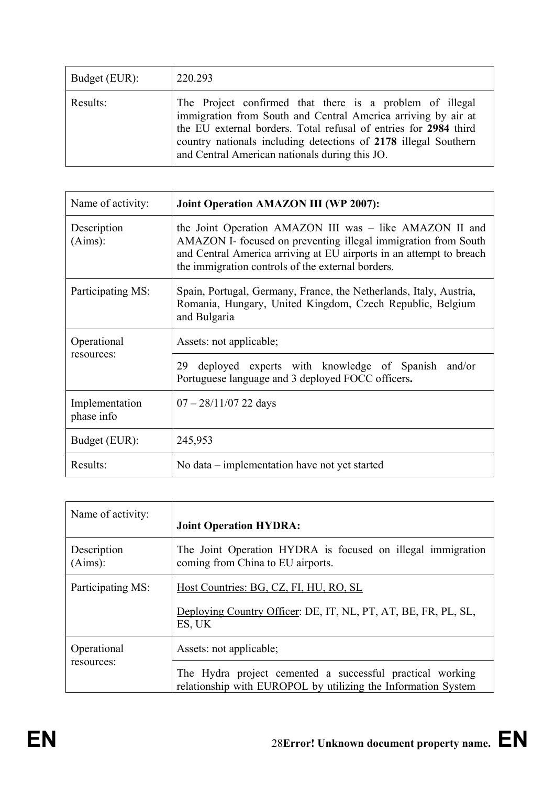| Budget (EUR): | 220.293                                                                                                                                                                                                                                                                                                            |
|---------------|--------------------------------------------------------------------------------------------------------------------------------------------------------------------------------------------------------------------------------------------------------------------------------------------------------------------|
| Results:      | The Project confirmed that there is a problem of illegal<br>immigration from South and Central America arriving by air at<br>the EU external borders. Total refusal of entries for 2984 third<br>country nationals including detections of 2178 illegal Southern<br>and Central American nationals during this JO. |

| Name of activity:            | <b>Joint Operation AMAZON III (WP 2007):</b>                                                                                                                                                                                                          |
|------------------------------|-------------------------------------------------------------------------------------------------------------------------------------------------------------------------------------------------------------------------------------------------------|
| Description<br>(Aims):       | the Joint Operation AMAZON III was – like AMAZON II and<br>AMAZON I- focused on preventing illegal immigration from South<br>and Central America arriving at EU airports in an attempt to breach<br>the immigration controls of the external borders. |
| Participating MS:            | Spain, Portugal, Germany, France, the Netherlands, Italy, Austria,<br>Romania, Hungary, United Kingdom, Czech Republic, Belgium<br>and Bulgaria                                                                                                       |
| Operational                  | Assets: not applicable;                                                                                                                                                                                                                               |
| resources:                   | deployed experts with knowledge of Spanish and/or<br>29<br>Portuguese language and 3 deployed FOCC officers.                                                                                                                                          |
| Implementation<br>phase info | $07 - 28/11/07$ 22 days                                                                                                                                                                                                                               |
| Budget (EUR):                | 245,953                                                                                                                                                                                                                                               |
| Results:                     | No data – implementation have not yet started                                                                                                                                                                                                         |

| Name of activity:         | <b>Joint Operation HYDRA:</b>                                                                                              |
|---------------------------|----------------------------------------------------------------------------------------------------------------------------|
| Description<br>(Aims):    | The Joint Operation HYDRA is focused on illegal immigration<br>coming from China to EU airports.                           |
| Participating MS:         | Host Countries: BG, CZ, FI, HU, RO, SL<br>Deploying Country Officer: DE, IT, NL, PT, AT, BE, FR, PL, SL,<br>ES, UK         |
| Operational<br>resources: | Assets: not applicable;                                                                                                    |
|                           | The Hydra project cemented a successful practical working<br>relationship with EUROPOL by utilizing the Information System |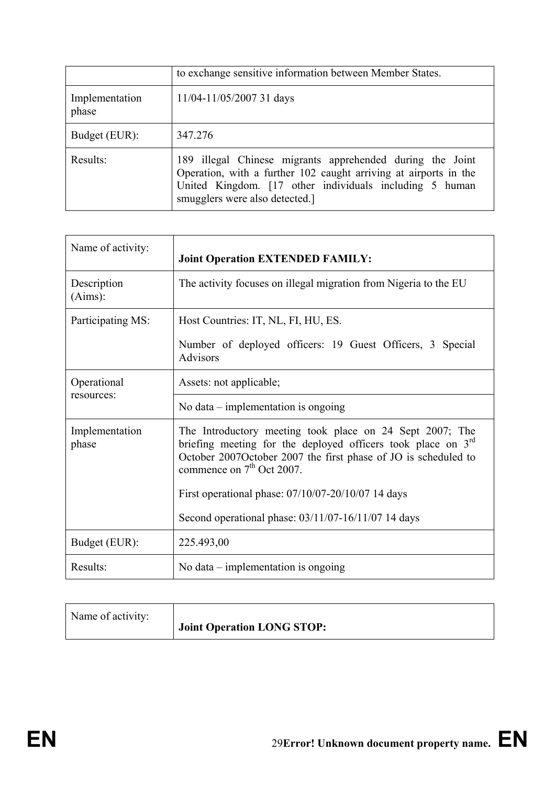|                         | to exchange sensitive information between Member States.                                                                                                                                                                  |
|-------------------------|---------------------------------------------------------------------------------------------------------------------------------------------------------------------------------------------------------------------------|
| Implementation<br>phase | 11/04-11/05/2007 31 days                                                                                                                                                                                                  |
| Budget (EUR):           | 347.276                                                                                                                                                                                                                   |
| Results:                | 189 illegal Chinese migrants apprehended during the Joint<br>Operation, with a further 102 caught arriving at airports in the<br>United Kingdom. [17 other individuals including 5 human<br>smugglers were also detected. |

| Name of activity:         | <b>Joint Operation EXTENDED FAMILY:</b>                                                                                                                                                                                                                                                                                                            |
|---------------------------|----------------------------------------------------------------------------------------------------------------------------------------------------------------------------------------------------------------------------------------------------------------------------------------------------------------------------------------------------|
| Description<br>(Aims):    | The activity focuses on illegal migration from Nigeria to the EU                                                                                                                                                                                                                                                                                   |
| Participating MS:         | Host Countries: IT, NL, FI, HU, ES.<br>Number of deployed officers: 19 Guest Officers, 3 Special<br><b>Advisors</b>                                                                                                                                                                                                                                |
| Operational<br>resources: | Assets: not applicable;<br>No data $-$ implementation is ongoing                                                                                                                                                                                                                                                                                   |
| Implementation<br>phase   | The Introductory meeting took place on 24 Sept 2007; The<br>briefing meeting for the deployed officers took place on $3rd$<br>October 2007October 2007 the first phase of JO is scheduled to<br>commence on 7 <sup>th</sup> Oct 2007.<br>First operational phase: 07/10/07-20/10/07 14 days<br>Second operational phase: 03/11/07-16/11/07 14 days |
| Budget (EUR):             | 225.493,00                                                                                                                                                                                                                                                                                                                                         |
| Results:                  | No data $-$ implementation is ongoing                                                                                                                                                                                                                                                                                                              |

| Name of activity: |                            |
|-------------------|----------------------------|
|                   |                            |
|                   | Joint Operation LONG STOP: |
|                   |                            |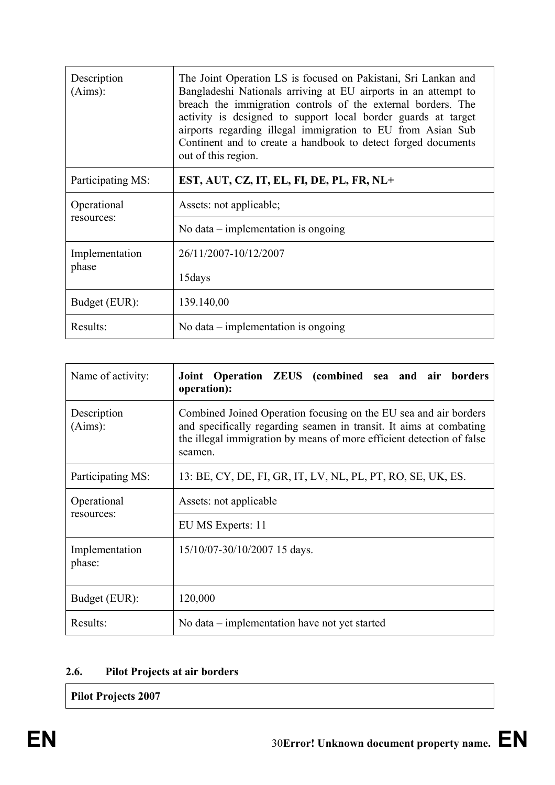| Description<br>(Aims):    | The Joint Operation LS is focused on Pakistani, Sri Lankan and<br>Bangladeshi Nationals arriving at EU airports in an attempt to<br>breach the immigration controls of the external borders. The<br>activity is designed to support local border guards at target<br>airports regarding illegal immigration to EU from Asian Sub<br>Continent and to create a handbook to detect forged documents<br>out of this region. |
|---------------------------|--------------------------------------------------------------------------------------------------------------------------------------------------------------------------------------------------------------------------------------------------------------------------------------------------------------------------------------------------------------------------------------------------------------------------|
| Participating MS:         | EST, AUT, CZ, IT, EL, FI, DE, PL, FR, NL+                                                                                                                                                                                                                                                                                                                                                                                |
| Operational<br>resources: | Assets: not applicable;                                                                                                                                                                                                                                                                                                                                                                                                  |
|                           | No data $-$ implementation is ongoing                                                                                                                                                                                                                                                                                                                                                                                    |
| Implementation<br>phase   | 26/11/2007-10/12/2007                                                                                                                                                                                                                                                                                                                                                                                                    |
|                           | 15 days                                                                                                                                                                                                                                                                                                                                                                                                                  |
| Budget (EUR):             | 139.140,00                                                                                                                                                                                                                                                                                                                                                                                                               |
| Results:                  | No data $-$ implementation is ongoing                                                                                                                                                                                                                                                                                                                                                                                    |

| Name of activity:         | Joint Operation ZEUS (combined sea and air borders<br>operation):                                                                                                                                                          |
|---------------------------|----------------------------------------------------------------------------------------------------------------------------------------------------------------------------------------------------------------------------|
| Description<br>(Aims):    | Combined Joined Operation focusing on the EU sea and air borders<br>and specifically regarding seamen in transit. It aims at combating<br>the illegal immigration by means of more efficient detection of false<br>seamen. |
| Participating MS:         | 13: BE, CY, DE, FI, GR, IT, LV, NL, PL, PT, RO, SE, UK, ES.                                                                                                                                                                |
| Operational<br>resources: | Assets: not applicable                                                                                                                                                                                                     |
|                           | EU MS Experts: 11                                                                                                                                                                                                          |
| Implementation<br>phase:  | 15/10/07-30/10/2007 15 days.                                                                                                                                                                                               |
| Budget (EUR):             | 120,000                                                                                                                                                                                                                    |
| Results:                  | No data – implementation have not yet started                                                                                                                                                                              |

# **2.6. Pilot Projects at air borders**

**Pilot Projects 2007**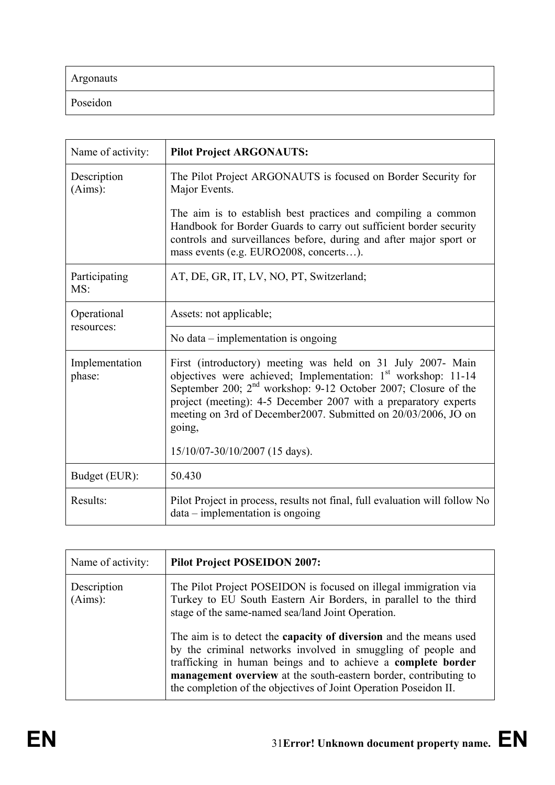Argonauts

Poseidon

| Name of activity:        | <b>Pilot Project ARGONAUTS:</b>                                                                                                                                                                                                                                                                                                                             |
|--------------------------|-------------------------------------------------------------------------------------------------------------------------------------------------------------------------------------------------------------------------------------------------------------------------------------------------------------------------------------------------------------|
| Description<br>(Aims):   | The Pilot Project ARGONAUTS is focused on Border Security for<br>Major Events.                                                                                                                                                                                                                                                                              |
|                          | The aim is to establish best practices and compiling a common<br>Handbook for Border Guards to carry out sufficient border security<br>controls and surveillances before, during and after major sport or<br>mass events (e.g. EURO2008, concerts).                                                                                                         |
| Participating<br>MS:     | AT, DE, GR, IT, LV, NO, PT, Switzerland;                                                                                                                                                                                                                                                                                                                    |
| Operational              | Assets: not applicable;                                                                                                                                                                                                                                                                                                                                     |
| resources:               | No data $-$ implementation is ongoing                                                                                                                                                                                                                                                                                                                       |
| Implementation<br>phase: | First (introductory) meeting was held on 31 July 2007- Main<br>objectives were achieved; Implementation: 1 <sup>st</sup> workshop: 11-14<br>September 200; $2nd$ workshop: 9-12 October 2007; Closure of the<br>project (meeting): 4-5 December 2007 with a preparatory experts<br>meeting on 3rd of December2007. Submitted on 20/03/2006, JO on<br>going, |
|                          | 15/10/07-30/10/2007 (15 days).                                                                                                                                                                                                                                                                                                                              |
| Budget (EUR):            | 50.430                                                                                                                                                                                                                                                                                                                                                      |
| Results:                 | Pilot Project in process, results not final, full evaluation will follow No<br>$data - implementation$ is ongoing                                                                                                                                                                                                                                           |

| Name of activity:      | <b>Pilot Project POSEIDON 2007:</b>                                                                                                                                                                                                                                                                                                              |
|------------------------|--------------------------------------------------------------------------------------------------------------------------------------------------------------------------------------------------------------------------------------------------------------------------------------------------------------------------------------------------|
| Description<br>(Aims): | The Pilot Project POSEIDON is focused on illegal immigration via<br>Turkey to EU South Eastern Air Borders, in parallel to the third<br>stage of the same-named sea/land Joint Operation.                                                                                                                                                        |
|                        | The aim is to detect the <b>capacity of diversion</b> and the means used<br>by the criminal networks involved in smuggling of people and<br>trafficking in human beings and to achieve a complete border<br>management overview at the south-eastern border, contributing to<br>the completion of the objectives of Joint Operation Poseidon II. |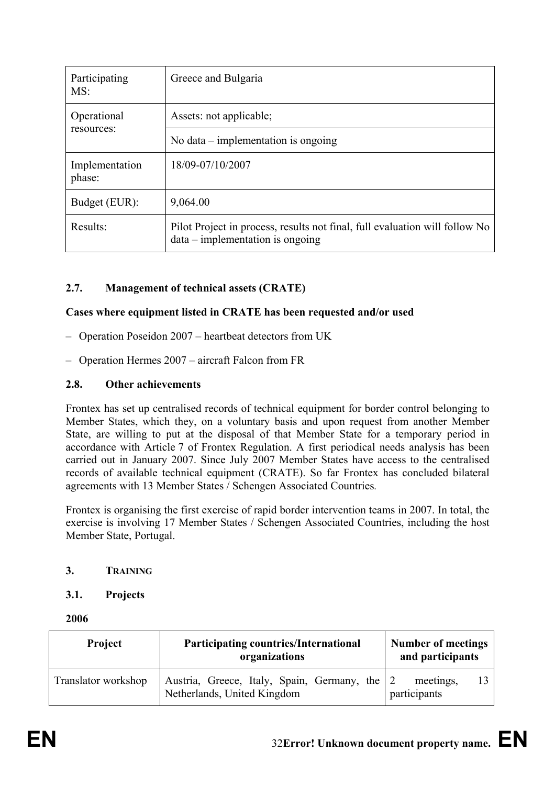| Participating<br>MS:     | Greece and Bulgaria                                                                                               |
|--------------------------|-------------------------------------------------------------------------------------------------------------------|
| Operational              | Assets: not applicable;                                                                                           |
| resources:               | No data $-$ implementation is ongoing                                                                             |
| Implementation<br>phase: | 18/09-07/10/2007                                                                                                  |
| Budget (EUR):            | 9,064.00                                                                                                          |
| Results:                 | Pilot Project in process, results not final, full evaluation will follow No<br>$data - implementation$ is ongoing |

# **2.7. Management of technical assets (CRATE)**

### **Cases where equipment listed in CRATE has been requested and/or used**

- Operation Poseidon 2007 heartbeat detectors from UK
- Operation Hermes 2007 aircraft Falcon from FR

### **2.8. Other achievements**

Frontex has set up centralised records of technical equipment for border control belonging to Member States, which they, on a voluntary basis and upon request from another Member State, are willing to put at the disposal of that Member State for a temporary period in accordance with Article 7 of Frontex Regulation. A first periodical needs analysis has been carried out in January 2007. Since July 2007 Member States have access to the centralised records of available technical equipment (CRATE). So far Frontex has concluded bilateral agreements with 13 Member States / Schengen Associated Countries*.* 

Frontex is organising the first exercise of rapid border intervention teams in 2007. In total, the exercise is involving 17 Member States / Schengen Associated Countries, including the host Member State, Portugal.

### **3. TRAINING**

### **3.1. Projects**

**2006** 

| <b>Project</b>      | <b>Participating countries/International</b><br>organizations                | <b>Number of meetings</b><br>and participants |  |
|---------------------|------------------------------------------------------------------------------|-----------------------------------------------|--|
| Translator workshop | Austria, Greece, Italy, Spain, Germany, the 2<br>Netherlands, United Kingdom |                                               |  |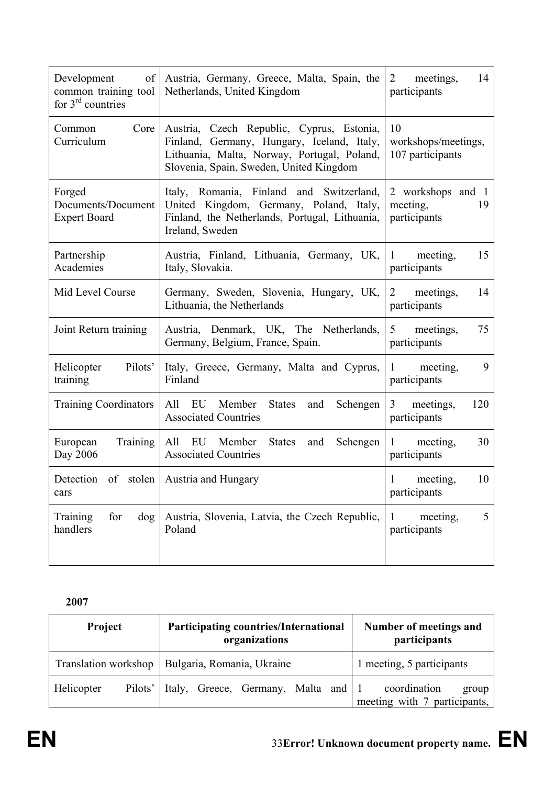| Development<br>of<br>common training tool<br>for $3rd$ countries | Austria, Germany, Greece, Malta, Spain, the<br>Netherlands, United Kingdom                                                                                                        | $\overline{2}$<br>meetings,<br>14<br>participants   |  |
|------------------------------------------------------------------|-----------------------------------------------------------------------------------------------------------------------------------------------------------------------------------|-----------------------------------------------------|--|
| Core<br>Common<br>Curriculum                                     | Austria, Czech Republic, Cyprus, Estonia,<br>Finland, Germany, Hungary, Iceland, Italy,<br>Lithuania, Malta, Norway, Portugal, Poland,<br>Slovenia, Spain, Sweden, United Kingdom | 10<br>workshops/meetings,<br>107 participants       |  |
| Forged<br>Documents/Document<br><b>Expert Board</b>              | Italy, Romania, Finland and Switzerland,<br>United Kingdom, Germany, Poland, Italy,<br>Finland, the Netherlands, Portugal, Lithuania,<br>Ireland, Sweden                          | 2 workshops and 1<br>19<br>meeting,<br>participants |  |
| Partnership<br>Academies                                         | Austria, Finland, Lithuania, Germany, UK,<br>Italy, Slovakia.                                                                                                                     | 15<br>meeting,<br>$\mathbf{1}$<br>participants      |  |
| Mid Level Course                                                 | Germany, Sweden, Slovenia, Hungary, UK,<br>Lithuania, the Netherlands                                                                                                             | meetings,<br>14<br>2<br>participants                |  |
| Joint Return training                                            | Austria, Denmark, UK, The Netherlands,<br>Germany, Belgium, France, Spain.                                                                                                        | 75<br>meetings,<br>5<br>participants                |  |
| Pilots'<br>Helicopter<br>training                                | Italy, Greece, Germany, Malta and Cyprus,<br>Finland                                                                                                                              | 9<br>$\mathbf{1}$<br>meeting,<br>participants       |  |
| <b>Training Coordinators</b>                                     | All EU<br>Member<br><b>States</b><br>Schengen<br>and<br><b>Associated Countries</b>                                                                                               | $\mathfrak{Z}$<br>meetings,<br>120<br>participants  |  |
| Training<br>European<br>Day 2006                                 | All EU Member<br><b>States</b><br>Schengen<br>and<br><b>Associated Countries</b>                                                                                                  | 30<br>meeting,<br>1<br>participants                 |  |
| Detection of stolen Austria and Hungary<br>cars                  |                                                                                                                                                                                   | 10<br>1<br>meeting,<br>participants                 |  |
| Training<br>for<br>dog<br>handlers                               | Austria, Slovenia, Latvia, the Czech Republic,<br>Poland                                                                                                                          | 5<br>meeting,<br>1<br>participants                  |  |

**2007** 

| <b>Project</b>        | <b>Participating countries/International</b><br>organizations | Number of meetings and<br>participants                |  |
|-----------------------|---------------------------------------------------------------|-------------------------------------------------------|--|
| Translation workshop  | Bulgaria, Romania, Ukraine                                    | 1 meeting, 5 participants                             |  |
| Helicopter<br>Pilots' | Italy, Greece, Germany, Malta and 1                           | coordination<br>group<br>meeting with 7 participants, |  |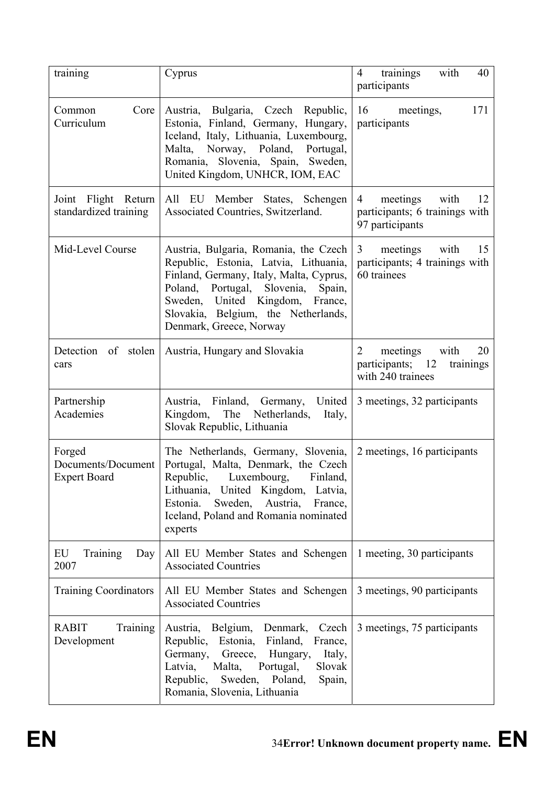| training                                            | Cyprus                                                                                                                                                                                                                                                                  | trainings<br>with<br>40<br>$\overline{4}$<br>participants                                 |  |
|-----------------------------------------------------|-------------------------------------------------------------------------------------------------------------------------------------------------------------------------------------------------------------------------------------------------------------------------|-------------------------------------------------------------------------------------------|--|
| Core<br>Common<br>Curriculum                        | Austria, Bulgaria, Czech Republic,<br>Estonia, Finland, Germany, Hungary,<br>Iceland, Italy, Lithuania, Luxembourg,<br>Malta, Norway, Poland, Portugal,<br>Romania, Slovenia, Spain, Sweden,<br>United Kingdom, UNHCR, IOM, EAC                                         | 16<br>meetings,<br>171<br>participants                                                    |  |
| Joint Flight Return<br>standardized training        | All EU Member States, Schengen<br>Associated Countries, Switzerland.                                                                                                                                                                                                    | meetings<br>with<br>4<br>12<br>participants; 6 trainings with<br>97 participants          |  |
| Mid-Level Course                                    | Austria, Bulgaria, Romania, the Czech<br>Republic, Estonia, Latvia, Lithuania,<br>Finland, Germany, Italy, Malta, Cyprus,<br>Poland, Portugal, Slovenia,<br>Spain,<br>Sweden, United Kingdom, France,<br>Slovakia, Belgium, the Netherlands,<br>Denmark, Greece, Norway | $\mathfrak{Z}$<br>meetings<br>with<br>15<br>participants; 4 trainings with<br>60 trainees |  |
| Detection of stolen<br>cars                         | Austria, Hungary and Slovakia                                                                                                                                                                                                                                           | meetings<br>2<br>with<br>20<br>participants; 12<br>trainings<br>with 240 trainees         |  |
| Partnership<br>Academies                            | United<br>Austria, Finland, Germany,<br>Kingdom, The Netherlands,<br>Italy,<br>Slovak Republic, Lithuania                                                                                                                                                               | 3 meetings, 32 participants                                                               |  |
| Forged<br>Documents/Document<br><b>Expert Board</b> | The Netherlands, Germany, Slovenia,<br>Portugal, Malta, Denmark, the Czech<br>Republic, Luxembourg,<br>Finland,<br>Lithuania, United Kingdom, Latvia,<br>Estonia.<br>Sweden,<br>Austria,<br>France,<br>Iceland, Poland and Romania nominated<br>experts                 | 2 meetings, 16 participants                                                               |  |
| EU<br><b>Training</b><br>Day<br>2007                | All EU Member States and Schengen<br><b>Associated Countries</b>                                                                                                                                                                                                        | 1 meeting, 30 participants                                                                |  |
| <b>Training Coordinators</b>                        | All EU Member States and Schengen<br><b>Associated Countries</b>                                                                                                                                                                                                        | 3 meetings, 90 participants                                                               |  |
| <b>RABIT</b><br>Training<br>Development             | Austria, Belgium,<br>Denmark,<br>Czech<br>Republic,<br>Estonia,<br>Finland,<br>France,<br>Germany,<br>Greece,<br>Hungary,<br>Italy,<br>Latvia,<br>Malta,<br>Portugal,<br>Slovak<br>Sweden, Poland,<br>Republic,<br>Spain,<br>Romania, Slovenia, Lithuania               | 3 meetings, 75 participants                                                               |  |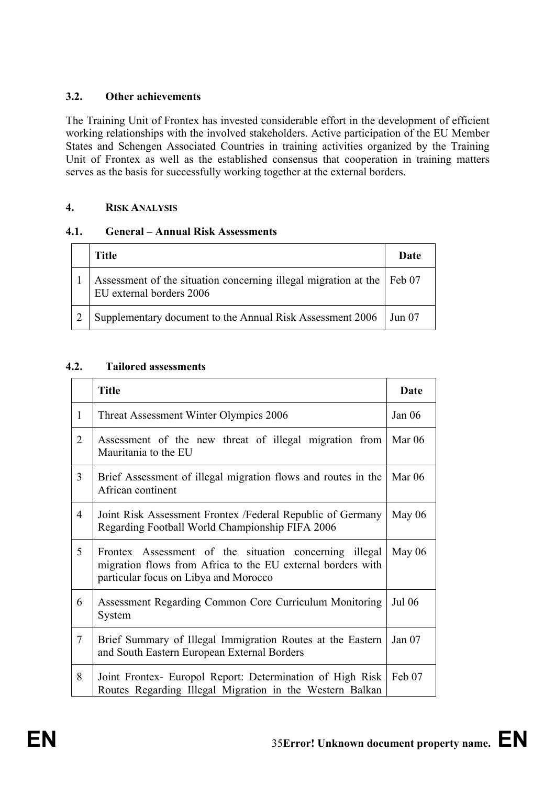## **3.2. Other achievements**

The Training Unit of Frontex has invested considerable effort in the development of efficient working relationships with the involved stakeholders. Active participation of the EU Member States and Schengen Associated Countries in training activities organized by the Training Unit of Frontex as well as the established consensus that cooperation in training matters serves as the basis for successfully working together at the external borders.

## **4. RISK ANALYSIS**

## **4.1. General – Annual Risk Assessments**

| <b>Title</b>                                                                                       | Date   |
|----------------------------------------------------------------------------------------------------|--------|
| Assessment of the situation concerning illegal migration at the Feb 07<br>EU external borders 2006 |        |
| Supplementary document to the Annual Risk Assessment 2006                                          | Jun 07 |

## **4.2. Tailored assessments**

|                | <b>Title</b>                                                                                                                                                   |               |
|----------------|----------------------------------------------------------------------------------------------------------------------------------------------------------------|---------------|
| $\mathbf{1}$   | Threat Assessment Winter Olympics 2006                                                                                                                         | Jan $06$      |
| $\overline{2}$ | Assessment of the new threat of illegal migration from<br>Mauritania to the EU                                                                                 | Mar $06$      |
| $\overline{3}$ | Brief Assessment of illegal migration flows and routes in the<br>African continent                                                                             | Mar $06$      |
| $\overline{4}$ | Joint Risk Assessment Frontex / Federal Republic of Germany<br>Regarding Football World Championship FIFA 2006                                                 | May $06$      |
| 5              | Frontex Assessment of the situation concerning illegal<br>migration flows from Africa to the EU external borders with<br>particular focus on Libya and Morocco | May $06$      |
| 6              | Assessment Regarding Common Core Curriculum Monitoring<br>System                                                                                               | <b>Jul 06</b> |
| $\tau$         | Brief Summary of Illegal Immigration Routes at the Eastern<br>and South Eastern European External Borders                                                      | Jan $07$      |
| 8              | Joint Frontex- Europol Report: Determination of High Risk<br>Routes Regarding Illegal Migration in the Western Balkan                                          | Feb 07        |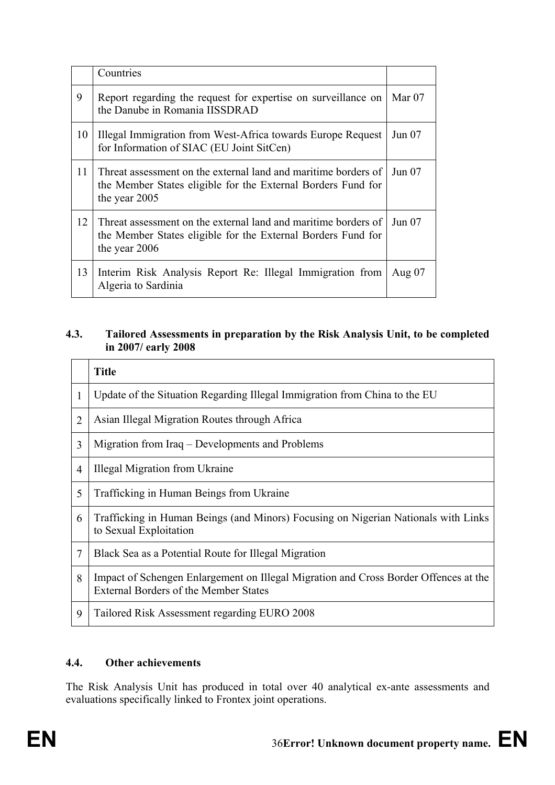|    | Countries                                                                                                                                       |          |
|----|-------------------------------------------------------------------------------------------------------------------------------------------------|----------|
| 9  | Report regarding the request for expertise on surveillance on<br>the Danube in Romania IISSDRAD                                                 | Mar $07$ |
| 10 | Illegal Immigration from West-Africa towards Europe Request<br>for Information of SIAC (EU Joint SitCen)                                        | Jun 07   |
| 11 | Threat assessment on the external land and maritime borders of<br>the Member States eligible for the External Borders Fund for<br>the year 2005 | Jun 07   |
| 12 | Threat assessment on the external land and maritime borders of<br>the Member States eligible for the External Borders Fund for<br>the year 2006 | Jun 07   |
| 13 | Interim Risk Analysis Report Re: Illegal Immigration from<br>Algeria to Sardinia                                                                | Aug $07$ |

# **4.3. Tailored Assessments in preparation by the Risk Analysis Unit, to be completed in 2007/ early 2008**

|                | <b>Title</b>                                                                                                                         |
|----------------|--------------------------------------------------------------------------------------------------------------------------------------|
|                | Update of the Situation Regarding Illegal Immigration from China to the EU                                                           |
| 2              | Asian Illegal Migration Routes through Africa                                                                                        |
| 3              | Migration from Iraq – Developments and Problems                                                                                      |
| $\overline{4}$ | Illegal Migration from Ukraine                                                                                                       |
| 5              | Trafficking in Human Beings from Ukraine                                                                                             |
| 6              | Trafficking in Human Beings (and Minors) Focusing on Nigerian Nationals with Links<br>to Sexual Exploitation                         |
| 7              | Black Sea as a Potential Route for Illegal Migration                                                                                 |
| 8              | Impact of Schengen Enlargement on Illegal Migration and Cross Border Offences at the<br><b>External Borders of the Member States</b> |
| 9              | Tailored Risk Assessment regarding EURO 2008                                                                                         |

## **4.4. Other achievements**

The Risk Analysis Unit has produced in total over 40 analytical ex-ante assessments and evaluations specifically linked to Frontex joint operations.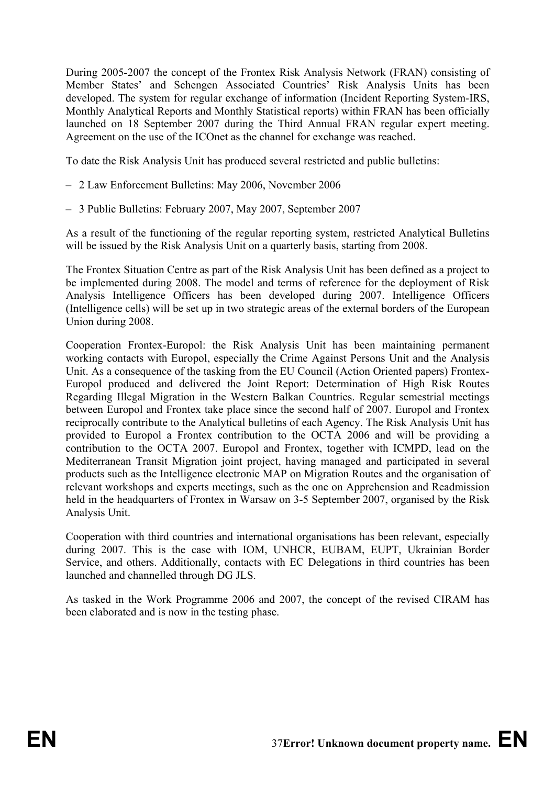During 2005-2007 the concept of the Frontex Risk Analysis Network (FRAN) consisting of Member States' and Schengen Associated Countries' Risk Analysis Units has been developed. The system for regular exchange of information (Incident Reporting System-IRS, Monthly Analytical Reports and Monthly Statistical reports) within FRAN has been officially launched on 18 September 2007 during the Third Annual FRAN regular expert meeting. Agreement on the use of the ICOnet as the channel for exchange was reached.

To date the Risk Analysis Unit has produced several restricted and public bulletins:

- 2 Law Enforcement Bulletins: May 2006, November 2006
- 3 Public Bulletins: February 2007, May 2007, September 2007

As a result of the functioning of the regular reporting system, restricted Analytical Bulletins will be issued by the Risk Analysis Unit on a quarterly basis, starting from 2008.

The Frontex Situation Centre as part of the Risk Analysis Unit has been defined as a project to be implemented during 2008. The model and terms of reference for the deployment of Risk Analysis Intelligence Officers has been developed during 2007. Intelligence Officers (Intelligence cells) will be set up in two strategic areas of the external borders of the European Union during 2008.

Cooperation Frontex-Europol: the Risk Analysis Unit has been maintaining permanent working contacts with Europol, especially the Crime Against Persons Unit and the Analysis Unit. As a consequence of the tasking from the EU Council (Action Oriented papers) Frontex-Europol produced and delivered the Joint Report: Determination of High Risk Routes Regarding Illegal Migration in the Western Balkan Countries. Regular semestrial meetings between Europol and Frontex take place since the second half of 2007. Europol and Frontex reciprocally contribute to the Analytical bulletins of each Agency. The Risk Analysis Unit has provided to Europol a Frontex contribution to the OCTA 2006 and will be providing a contribution to the OCTA 2007. Europol and Frontex, together with ICMPD, lead on the Mediterranean Transit Migration joint project, having managed and participated in several products such as the Intelligence electronic MAP on Migration Routes and the organisation of relevant workshops and experts meetings, such as the one on Apprehension and Readmission held in the headquarters of Frontex in Warsaw on 3-5 September 2007, organised by the Risk Analysis Unit.

Cooperation with third countries and international organisations has been relevant, especially during 2007. This is the case with IOM, UNHCR, EUBAM, EUPT, Ukrainian Border Service, and others. Additionally, contacts with EC Delegations in third countries has been launched and channelled through DG JLS.

As tasked in the Work Programme 2006 and 2007, the concept of the revised CIRAM has been elaborated and is now in the testing phase.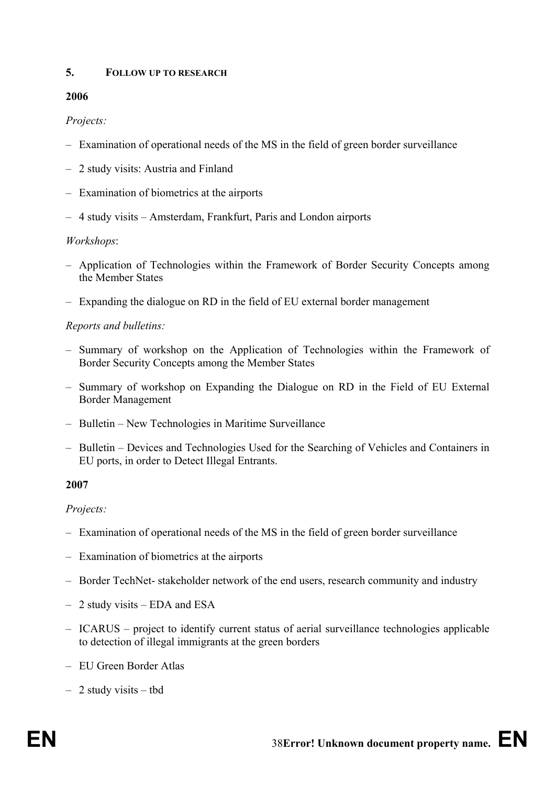### **5. FOLLOW UP TO RESEARCH**

## **2006**

## *Projects:*

- Examination of operational needs of the MS in the field of green border surveillance
- 2 study visits: Austria and Finland
- Examination of biometrics at the airports
- 4 study visits Amsterdam, Frankfurt, Paris and London airports

### *Workshops*:

- Application of Technologies within the Framework of Border Security Concepts among the Member States
- Expanding the dialogue on RD in the field of EU external border management

## *Reports and bulletins:*

- Summary of workshop on the Application of Technologies within the Framework of Border Security Concepts among the Member States
- Summary of workshop on Expanding the Dialogue on RD in the Field of EU External Border Management
- Bulletin New Technologies in Maritime Surveillance
- Bulletin Devices and Technologies Used for the Searching of Vehicles and Containers in EU ports, in order to Detect Illegal Entrants.

### **2007**

## *Projects:*

- Examination of operational needs of the MS in the field of green border surveillance
- Examination of biometrics at the airports
- Border TechNet- stakeholder network of the end users, research community and industry
- 2 study visits EDA and ESA
- ICARUS project to identify current status of aerial surveillance technologies applicable to detection of illegal immigrants at the green borders
- EU Green Border Atlas
- 2 study visits tbd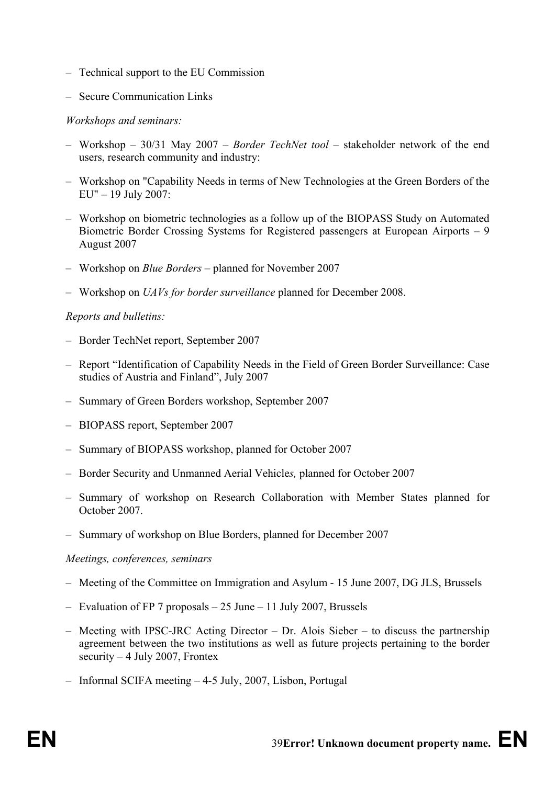- Technical support to the EU Commission
- Secure Communication Links

## *Workshops and seminars:*

- Workshop 30/31 May 2007 *Border TechNet tool* stakeholder network of the end users, research community and industry:
- Workshop on "Capability Needs in terms of New Technologies at the Green Borders of the EU" – 19 July 2007:
- Workshop on biometric technologies as a follow up of the BIOPASS Study on Automated Biometric Border Crossing Systems for Registered passengers at European Airports – 9 August 2007
- Workshop on *Blue Borders* planned for November 2007
- Workshop on *UAVs for border surveillance* planned for December 2008.

## *Reports and bulletins:*

- Border TechNet report, September 2007
- Report "Identification of Capability Needs in the Field of Green Border Surveillance: Case studies of Austria and Finland", July 2007
- Summary of Green Borders workshop, September 2007
- BIOPASS report, September 2007
- Summary of BIOPASS workshop, planned for October 2007
- Border Security and Unmanned Aerial Vehicle*s,* planned for October 2007
- Summary of workshop on Research Collaboration with Member States planned for October 2007.
- Summary of workshop on Blue Borders, planned for December 2007

### *Meetings, conferences, seminars*

- Meeting of the Committee on Immigration and Asylum 15 June 2007, DG JLS, Brussels
- Evaluation of FP 7 proposals 25 June 11 July 2007, Brussels
- Meeting with IPSC-JRC Acting Director Dr. Alois Sieber to discuss the partnership agreement between the two institutions as well as future projects pertaining to the border security  $-4$  July 2007, Frontex
- Informal SCIFA meeting 4-5 July, 2007, Lisbon, Portugal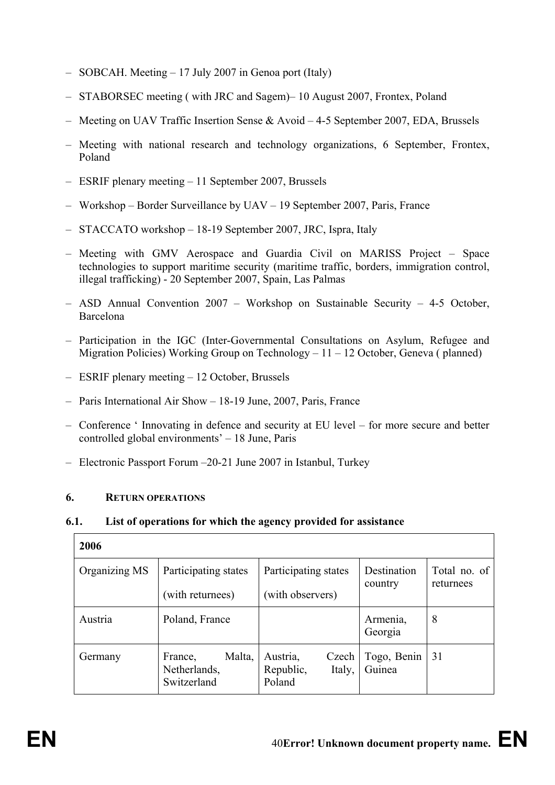- SOBCAH. Meeting 17 July 2007 in Genoa port (Italy)
- STABORSEC meeting ( with JRC and Sagem)– 10 August 2007, Frontex, Poland
- Meeting on UAV Traffic Insertion Sense & Avoid 4-5 September 2007, EDA, Brussels
- Meeting with national research and technology organizations, 6 September, Frontex, Poland
- ESRIF plenary meeting 11 September 2007, Brussels
- Workshop Border Surveillance by UAV 19 September 2007, Paris, France
- STACCATO workshop 18-19 September 2007, JRC, Ispra, Italy
- Meeting with GMV Aerospace and Guardia Civil on MARISS Project Space technologies to support maritime security (maritime traffic, borders, immigration control, illegal trafficking) - 20 September 2007, Spain, Las Palmas
- ASD Annual Convention 2007 Workshop on Sustainable Security 4-5 October, Barcelona
- Participation in the IGC (Inter-Governmental Consultations on Asylum, Refugee and Migration Policies) Working Group on Technology – 11 – 12 October, Geneva ( planned)
- ESRIF plenary meeting 12 October, Brussels
- Paris International Air Show 18-19 June, 2007, Paris, France
- Conference ' Innovating in defence and security at EU level for more secure and better controlled global environments' – 18 June, Paris
- Electronic Passport Forum –20-21 June 2007 in Istanbul, Turkey

### **6. RETURN OPERATIONS**

 $\Gamma$ 

### **6.1. List of operations for which the agency provided for assistance**

| 2006          |                                                  |                                                    |                        |                           |
|---------------|--------------------------------------------------|----------------------------------------------------|------------------------|---------------------------|
| Organizing MS | Participating states<br>(with returnees)         | Participating states<br>(with observers)           | Destination<br>country | Total no. of<br>returnees |
| Austria       | Poland, France                                   |                                                    | Armenia,<br>Georgia    | 8                         |
| Germany       | Malta,<br>France,<br>Netherlands,<br>Switzerland | Austria,<br>Czech<br>Republic,<br>Italy,<br>Poland | Togo, Benin<br>Guinea  | 31                        |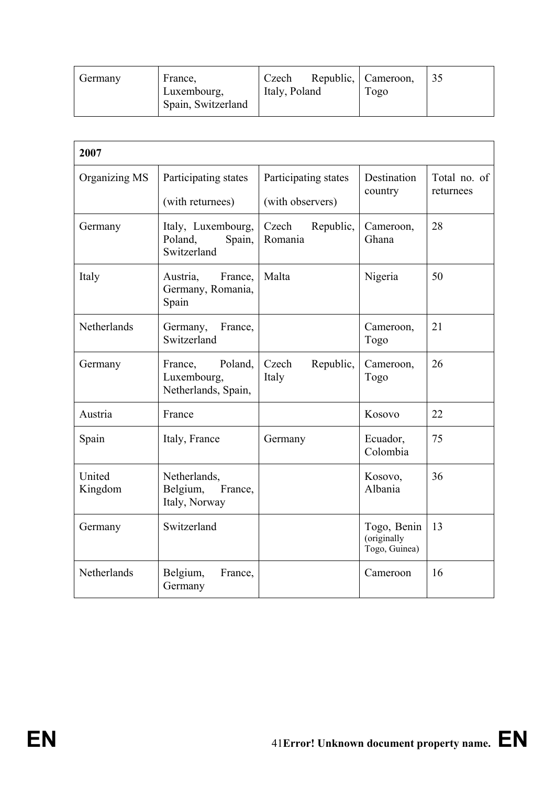| Germany | France,<br>Luxembourg,<br>Spain, Switzerland | Czech<br>Italy, Poland | Republic, Cameroon,<br>1020 | 35 |
|---------|----------------------------------------------|------------------------|-----------------------------|----|
|         |                                              |                        |                             |    |

| 2007              |                                                          |                                          |                                             |                           |  |
|-------------------|----------------------------------------------------------|------------------------------------------|---------------------------------------------|---------------------------|--|
| Organizing MS     | Participating states<br>(with returnees)                 | Participating states<br>(with observers) | Destination<br>country                      | Total no. of<br>returnees |  |
| Germany           | Italy, Luxembourg,<br>Poland,<br>Spain,<br>Switzerland   | Czech<br>Republic,<br>Romania            | Cameroon,<br>Ghana                          | 28                        |  |
| Italy             | Austria,<br>France.<br>Germany, Romania,<br>Spain        | Malta                                    | Nigeria                                     | 50                        |  |
| Netherlands       | Germany,<br>France,<br>Switzerland                       |                                          | Cameroon,<br>Togo                           | 21                        |  |
| Germany           | Poland,<br>France,<br>Luxembourg,<br>Netherlands, Spain, | Republic,<br>Czech<br>Italy              | Cameroon,<br>Togo                           | 26                        |  |
| Austria           | France                                                   |                                          | Kosovo                                      | 22                        |  |
| Spain             | Italy, France                                            | Germany                                  | Ecuador,<br>Colombia                        | 75                        |  |
| United<br>Kingdom | Netherlands,<br>Belgium,<br>France,<br>Italy, Norway     |                                          | Kosovo,<br>Albania                          | 36                        |  |
| Germany           | Switzerland                                              |                                          | Togo, Benin<br>(originally<br>Togo, Guinea) | 13                        |  |
| Netherlands       | Belgium,<br>France,<br>Germany                           |                                          | Cameroon                                    | 16                        |  |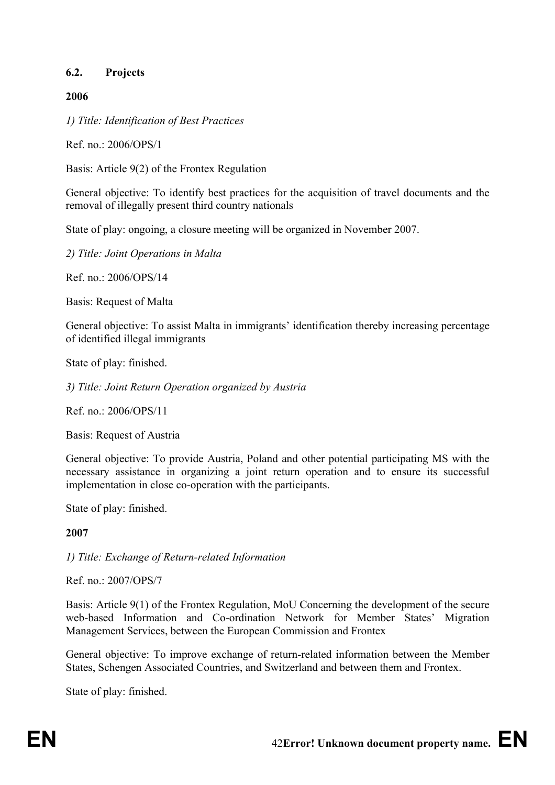## **6.2. Projects**

### **2006**

*1) Title: Identification of Best Practices* 

Ref. no.: 2006/OPS/1

Basis: Article 9(2) of the Frontex Regulation

General objective: To identify best practices for the acquisition of travel documents and the removal of illegally present third country nationals

State of play: ongoing, a closure meeting will be organized in November 2007.

*2) Title: Joint Operations in Malta* 

Ref. no.:  $2006$ /OPS/14

Basis: Request of Malta

General objective: To assist Malta in immigrants' identification thereby increasing percentage of identified illegal immigrants

State of play: finished.

*3) Title: Joint Return Operation organized by Austria* 

Ref. no.: 2006/OPS/11

Basis: Request of Austria

General objective: To provide Austria, Poland and other potential participating MS with the necessary assistance in organizing a joint return operation and to ensure its successful implementation in close co-operation with the participants.

State of play: finished.

### **2007**

*1) Title: Exchange of Return-related Information* 

Ref. no.: 2007/OPS/7

Basis: Article 9(1) of the Frontex Regulation, MoU Concerning the development of the secure web-based Information and Co-ordination Network for Member States' Migration Management Services, between the European Commission and Frontex

General objective: To improve exchange of return-related information between the Member States, Schengen Associated Countries, and Switzerland and between them and Frontex.

State of play: finished.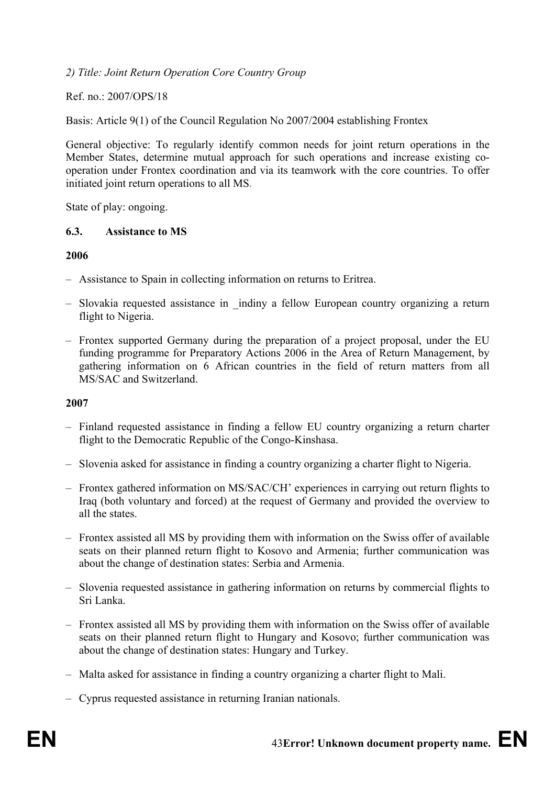*2) Title: Joint Return Operation Core Country Group* 

Ref. no.: 2007/OPS/18

Basis: Article 9(1) of the Council Regulation No 2007/2004 establishing Frontex

General objective: To regularly identify common needs for joint return operations in the Member States, determine mutual approach for such operations and increase existing cooperation under Frontex coordination and via its teamwork with the core countries. To offer initiated joint return operations to all MS.

State of play: ongoing.

### **6.3. Assistance to MS**

#### **2006**

- Assistance to Spain in collecting information on returns to Eritrea.
- Slovakia requested assistance in \_indiny a fellow European country organizing a return flight to Nigeria.
- Frontex supported Germany during the preparation of a project proposal, under the EU funding programme for Preparatory Actions 2006 in the Area of Return Management, by gathering information on 6 African countries in the field of return matters from all MS/SAC and Switzerland.

### **2007**

- Finland requested assistance in finding a fellow EU country organizing a return charter flight to the Democratic Republic of the Congo-Kinshasa.
- Slovenia asked for assistance in finding a country organizing a charter flight to Nigeria.
- Frontex gathered information on MS/SAC/CH' experiences in carrying out return flights to Iraq (both voluntary and forced) at the request of Germany and provided the overview to all the states.
- Frontex assisted all MS by providing them with information on the Swiss offer of available seats on their planned return flight to Kosovo and Armenia; further communication was about the change of destination states: Serbia and Armenia.
- Slovenia requested assistance in gathering information on returns by commercial flights to Sri Lanka.
- Frontex assisted all MS by providing them with information on the Swiss offer of available seats on their planned return flight to Hungary and Kosovo; further communication was about the change of destination states: Hungary and Turkey.
- Malta asked for assistance in finding a country organizing a charter flight to Mali.
- Cyprus requested assistance in returning Iranian nationals.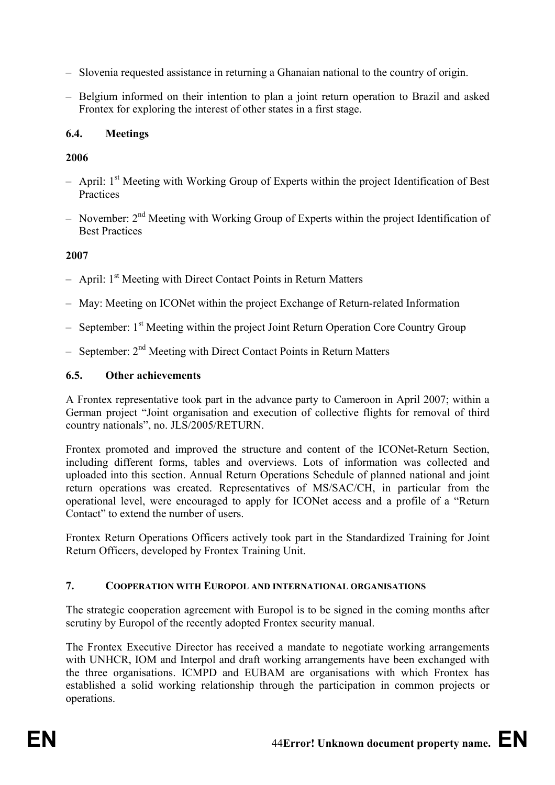- Slovenia requested assistance in returning a Ghanaian national to the country of origin.
- Belgium informed on their intention to plan a joint return operation to Brazil and asked Frontex for exploring the interest of other states in a first stage.

# **6.4. Meetings**

# **2006**

- $-$  April: 1<sup>st</sup> Meeting with Working Group of Experts within the project Identification of Best **Practices**
- November: 2nd Meeting with Working Group of Experts within the project Identification of Best Practices

# **2007**

- $-$  April:  $1<sup>st</sup>$  Meeting with Direct Contact Points in Return Matters
- May: Meeting on ICONet within the project Exchange of Return-related Information
- $-$  September: 1<sup>st</sup> Meeting within the project Joint Return Operation Core Country Group
- $-$  September:  $2<sup>nd</sup>$  Meeting with Direct Contact Points in Return Matters

# **6.5. Other achievements**

A Frontex representative took part in the advance party to Cameroon in April 2007; within a German project "Joint organisation and execution of collective flights for removal of third country nationals", no. JLS/2005/RETURN.

Frontex promoted and improved the structure and content of the ICONet-Return Section, including different forms, tables and overviews. Lots of information was collected and uploaded into this section. Annual Return Operations Schedule of planned national and joint return operations was created. Representatives of MS/SAC/CH, in particular from the operational level, were encouraged to apply for ICONet access and a profile of a "Return Contact" to extend the number of users.

Frontex Return Operations Officers actively took part in the Standardized Training for Joint Return Officers, developed by Frontex Training Unit.

## **7. COOPERATION WITH EUROPOL AND INTERNATIONAL ORGANISATIONS**

The strategic cooperation agreement with Europol is to be signed in the coming months after scrutiny by Europol of the recently adopted Frontex security manual.

The Frontex Executive Director has received a mandate to negotiate working arrangements with UNHCR, IOM and Interpol and draft working arrangements have been exchanged with the three organisations. ICMPD and EUBAM are organisations with which Frontex has established a solid working relationship through the participation in common projects or operations.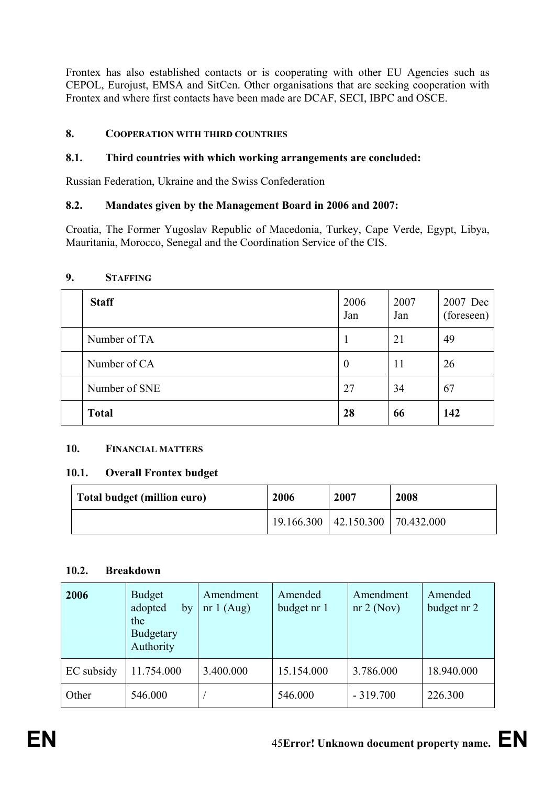Frontex has also established contacts or is cooperating with other EU Agencies such as CEPOL, Eurojust, EMSA and SitCen. Other organisations that are seeking cooperation with Frontex and where first contacts have been made are DCAF, SECI, IBPC and OSCE.

## **8. COOPERATION WITH THIRD COUNTRIES**

# **8.1. Third countries with which working arrangements are concluded:**

Russian Federation, Ukraine and the Swiss Confederation

# **8.2. Mandates given by the Management Board in 2006 and 2007:**

Croatia, The Former Yugoslav Republic of Macedonia, Turkey, Cape Verde, Egypt, Libya, Mauritania, Morocco, Senegal and the Coordination Service of the CIS.

## **9. STAFFING**

| <b>Staff</b>  | 2006<br>Jan      | 2007<br>Jan | 2007 Dec<br>(foreseen) |
|---------------|------------------|-------------|------------------------|
| Number of TA  |                  | 21          | 49                     |
| Number of CA  | $\boldsymbol{0}$ | 11          | 26                     |
| Number of SNE | 27               | 34          | 67                     |
| <b>Total</b>  | 28               | 66          | 142                    |

## **10. FINANCIAL MATTERS**

## **10.1. Overall Frontex budget**

| Total budget (million euro) | 2006 | 2007                                         | 2008 |
|-----------------------------|------|----------------------------------------------|------|
|                             |      | $19.166.300 \mid 42.150.300 \mid 70.432.000$ |      |

## **10.2. Breakdown**

| 2006       | <b>Budget</b><br>adopted<br>by<br>the<br><b>Budgetary</b><br>Authority | Amendment<br>nr $1$ (Aug) | Amended<br>budget nr 1 | Amendment<br>nr 2 (Nov) | Amended<br>budget nr 2 |
|------------|------------------------------------------------------------------------|---------------------------|------------------------|-------------------------|------------------------|
| EC subsidy | 11.754.000                                                             | 3.400.000                 | 15.154.000             | 3.786.000               | 18.940.000             |
| Other      | 546.000                                                                |                           | 546.000                | $-319.700$              | 226.300                |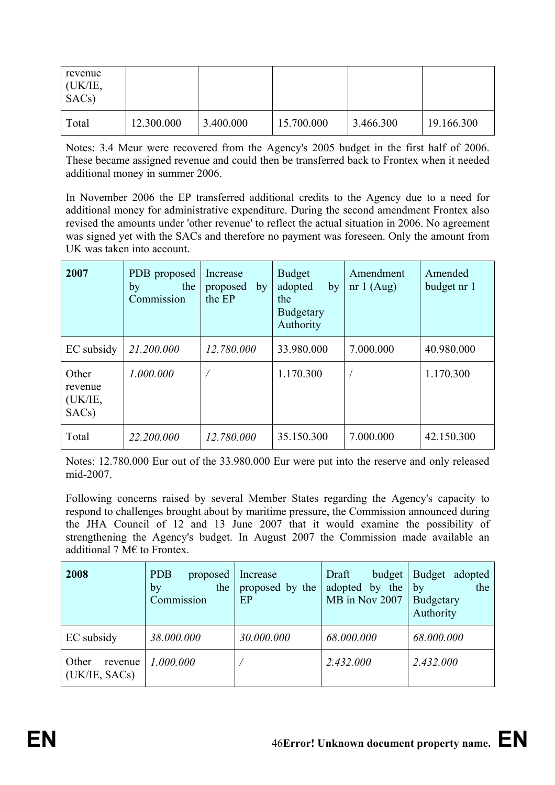| revenue<br>(UK/IE,<br>SAC <sub>s</sub> ) |            |           |            |           |            |
|------------------------------------------|------------|-----------|------------|-----------|------------|
| Total                                    | 12.300.000 | 3.400.000 | 15.700.000 | 3.466.300 | 19.166.300 |

Notes: 3.4 Meur were recovered from the Agency's 2005 budget in the first half of 2006. These became assigned revenue and could then be transferred back to Frontex when it needed additional money in summer 2006.

In November 2006 the EP transferred additional credits to the Agency due to a need for additional money for administrative expenditure. During the second amendment Frontex also revised the amounts under 'other revenue' to reflect the actual situation in 2006. No agreement was signed yet with the SACs and therefore no payment was foreseen. Only the amount from UK was taken into account.

| 2007                                              | PDB proposed<br>the<br>by<br>Commission | Increase<br>proposed<br>by<br>the EP | <b>Budget</b><br>adopted<br>by<br>the<br><b>Budgetary</b><br>Authority | Amendment<br>nr $1(Aug)$ | Amended<br>budget nr 1 |
|---------------------------------------------------|-----------------------------------------|--------------------------------------|------------------------------------------------------------------------|--------------------------|------------------------|
| EC subsidy                                        | 21.200.000                              | 12.780.000                           | 33.980.000                                                             | 7.000.000                | 40.980.000             |
| Other<br>revenue<br>(UK/IE,<br>SAC <sub>s</sub> ) | 1.000.000                               |                                      | 1.170.300                                                              |                          | 1.170.300              |
| Total                                             | 22.200.000                              | 12.780.000                           | 35.150.300                                                             | 7.000.000                | 42.150.300             |

Notes: 12.780.000 Eur out of the 33.980.000 Eur were put into the reserve and only released mid-2007.

Following concerns raised by several Member States regarding the Agency's capacity to respond to challenges brought about by maritime pressure, the Commission announced during the JHA Council of 12 and 13 June 2007 that it would examine the possibility of strengthening the Agency's budget. In August 2007 the Commission made available an additional 7 M $\epsilon$  to Frontex.

| 2008                              | <b>PDB</b><br>proposed<br>the<br>by<br>Commission | Increase<br>proposed by the<br>EP | Draft<br>budget<br>adopted by the<br>MB in Nov 2007 | Budget adopted<br>the<br>by<br>Budgetary<br>Authority |
|-----------------------------------|---------------------------------------------------|-----------------------------------|-----------------------------------------------------|-------------------------------------------------------|
| EC subsidy                        | 38.000.000                                        | 30.000.000                        | 68.000.000                                          | 68.000.000                                            |
| Other<br>revenue<br>(UK/IE, SACS) | 1.000.000                                         |                                   | 2.432.000                                           | 2.432.000                                             |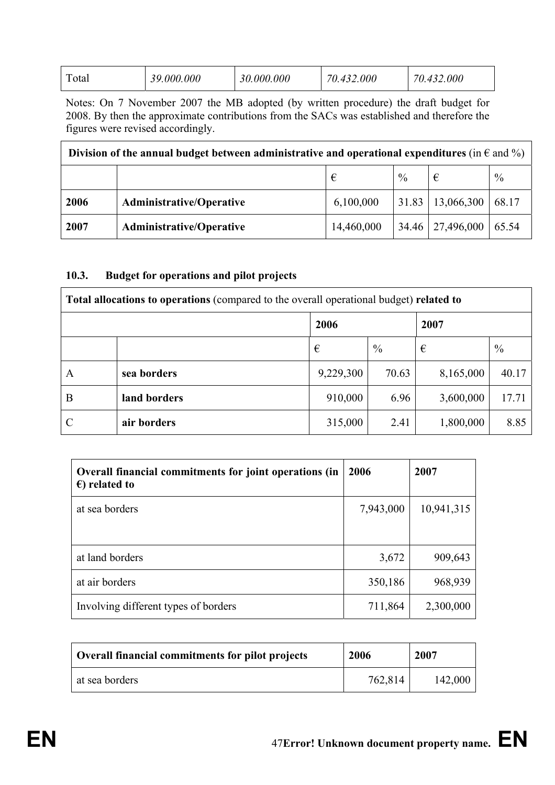|  | $\mathbf{r}$<br>`otal | 0.000.000<br>30 | 30.000.000 | 000<br>70.<br>$\boldsymbol{\varDelta}$ | .000 |
|--|-----------------------|-----------------|------------|----------------------------------------|------|
|--|-----------------------|-----------------|------------|----------------------------------------|------|

Notes: On 7 November 2007 the MB adopted (by written procedure) the draft budget for 2008. By then the approximate contributions from the SACs was established and therefore the figures were revised accordingly.

| Division of the annual budget between administrative and operational expenditures (in $\epsilon$ and %) |                                 |            |               |                      |               |  |
|---------------------------------------------------------------------------------------------------------|---------------------------------|------------|---------------|----------------------|---------------|--|
|                                                                                                         |                                 |            | $\frac{0}{0}$ | €                    | $\frac{0}{0}$ |  |
| 2006                                                                                                    | <b>Administrative/Operative</b> | 6,100,000  |               | $31.83$   13,066,300 | 68.17         |  |
| 2007                                                                                                    | <b>Administrative/Operative</b> | 14,460,000 |               | 34.46   27,496,000   | 65.54         |  |

### **10.3. Budget for operations and pilot projects**

| Total allocations to operations (compared to the overall operational budget) related to |              |              |               |           |       |  |
|-----------------------------------------------------------------------------------------|--------------|--------------|---------------|-----------|-------|--|
|                                                                                         |              | 2006<br>2007 |               |           |       |  |
|                                                                                         |              | €            | $\frac{0}{0}$ | €         | $\%$  |  |
| A                                                                                       | sea borders  | 9,229,300    | 70.63         | 8,165,000 | 40.17 |  |
| B                                                                                       | land borders | 910,000      | 6.96          | 3,600,000 | 17.71 |  |
|                                                                                         | air borders  | 315,000      | 2.41          | 1,800,000 | 8.85  |  |

| Overall financial commitments for joint operations (in<br>$\epsilon$ ) related to | 2006      | 2007       |
|-----------------------------------------------------------------------------------|-----------|------------|
| at sea borders                                                                    | 7,943,000 | 10,941,315 |
|                                                                                   |           |            |
| at land borders                                                                   | 3,672     | 909,643    |
| at air borders                                                                    | 350,186   | 968,939    |
| Involving different types of borders                                              | 711,864   | 2,300,000  |

| Overall financial commitments for pilot projects | 2006    | 2007    |
|--------------------------------------------------|---------|---------|
| at sea borders                                   | 762,814 | 142,000 |